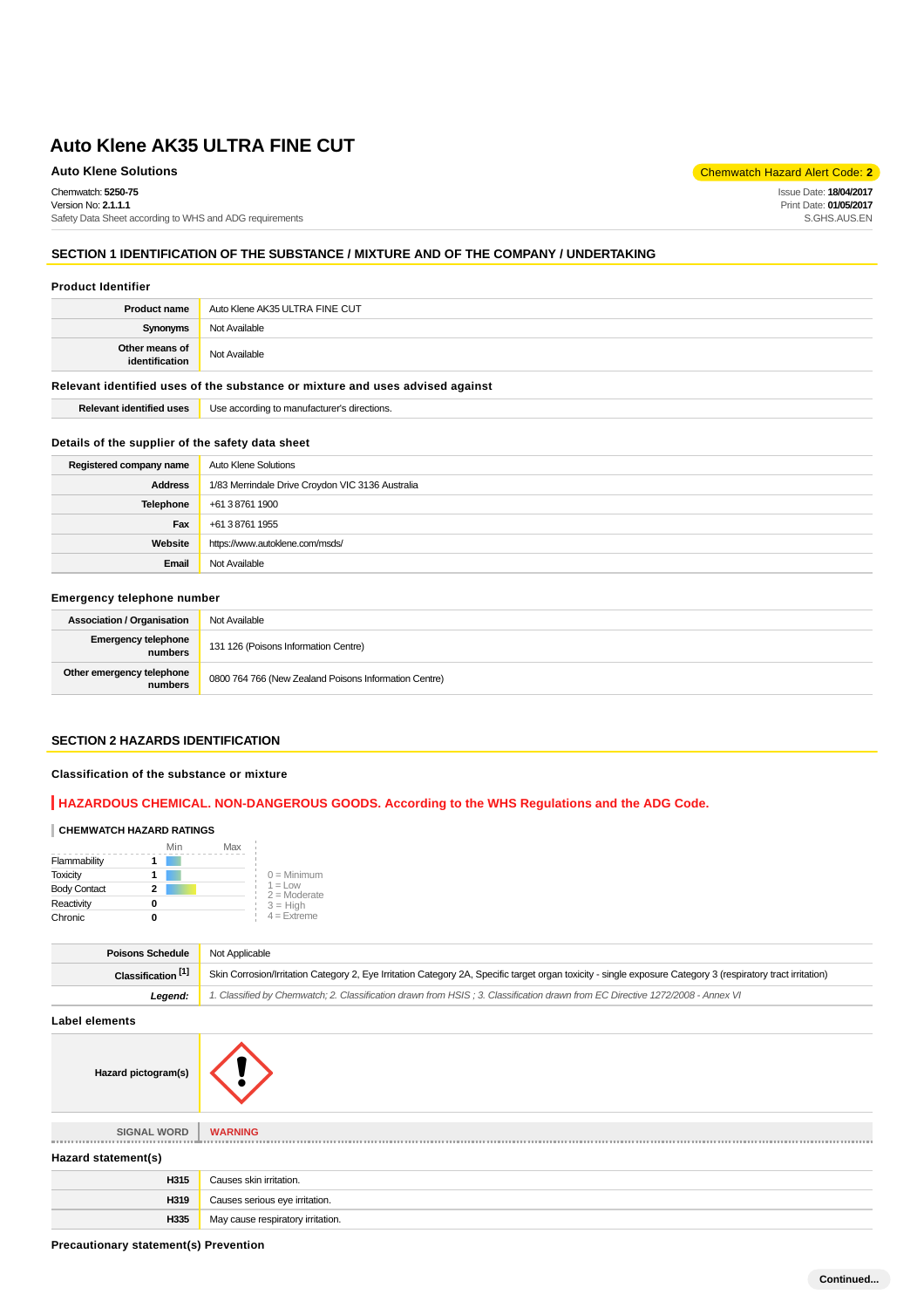Chemwatch: **5250-75** Version No: **2.1.1.1**

Safety Data Sheet according to WHS and ADG requirements

# **SECTION 1 IDENTIFICATION OF THE SUBSTANCE / MIXTURE AND OF THE COMPANY / UNDERTAKING**

#### **Product Identifier**

| <b>Product name</b>              | Auto Klene AK35 ULTRA FINE CUT |
|----------------------------------|--------------------------------|
| Synonyms                         | Not Available                  |
| Other means of<br>identification | Not Available                  |

#### **Relevant identified uses of the substance or mixture and uses advised against**

**Relevant identified uses** Use according to manufacturer's directions.

#### **Details of the supplier of the safety data sheet**

| Registered company name | Auto Klene Solutions                             |
|-------------------------|--------------------------------------------------|
| <b>Address</b>          | 1/83 Merrindale Drive Croydon VIC 3136 Australia |
| Telephone               | +61 3 8761 1900                                  |
| Fax                     | +61 3 8761 1955                                  |
| Website                 | https://www.autoklene.com/msds/                  |
| Email                   | Not Available                                    |

# **Emergency telephone number**

| <b>Association / Organisation</b>     | Not Available                                         |
|---------------------------------------|-------------------------------------------------------|
| <b>Emergency telephone</b><br>numbers | 131 126 (Poisons Information Centre)                  |
| Other emergency telephone<br>numbers  | 0800 764 766 (New Zealand Poisons Information Centre) |

# **SECTION 2 HAZARDS IDENTIFICATION**

# **Classification of the substance or mixture**

### **HAZARDOUS CHEMICAL. NON-DANGEROUS GOODS. According to the WHS Regulations and the ADG Code.**

#### **CHEMWATCH HAZARD RATINGS**

|                     | Min | Max |                             |
|---------------------|-----|-----|-----------------------------|
| Flammability        |     |     |                             |
| <b>Toxicity</b>     |     |     | $0 =$ Minimum               |
| <b>Body Contact</b> | 2   |     | $1 =$ Low<br>$2 =$ Moderate |
| Reactivity          |     |     | $3 = High$                  |
| Chronic             |     |     | $4$ = Extreme               |

| <b>Poisons Schedule</b>       | Not Applicable                                                                                                                                               |
|-------------------------------|--------------------------------------------------------------------------------------------------------------------------------------------------------------|
| Classification <sup>[1]</sup> | Skin Corrosion/Irritation Category 2, Eye Irritation Category 2A, Specific target organ toxicity - single exposure Category 3 (respiratory tract irritation) |
| Leaend:                       | 1. Classified by Chemwatch; 2. Classification drawn from HSIS; 3. Classification drawn from EC Directive 1272/2008 - Annex VI                                |

**Label elements**

| ________________    |                                   |  |
|---------------------|-----------------------------------|--|
| Hazard pictogram(s) |                                   |  |
| <b>SIGNAL WORD</b>  | <b>WARNING</b>                    |  |
| Hazard statement(s) |                                   |  |
| H315                | Causes skin irritation.           |  |
| H319                | Causes serious eye irritation.    |  |
| H335                | May cause respiratory irritation. |  |

**Precautionary statement(s) Prevention**

**Auto Klene Solutions** Chemwatch Hazard Alert Code: **2** 

Issue Date: **18/04/2017** Print Date: **01/05/2017** S.GHS.AUS.EN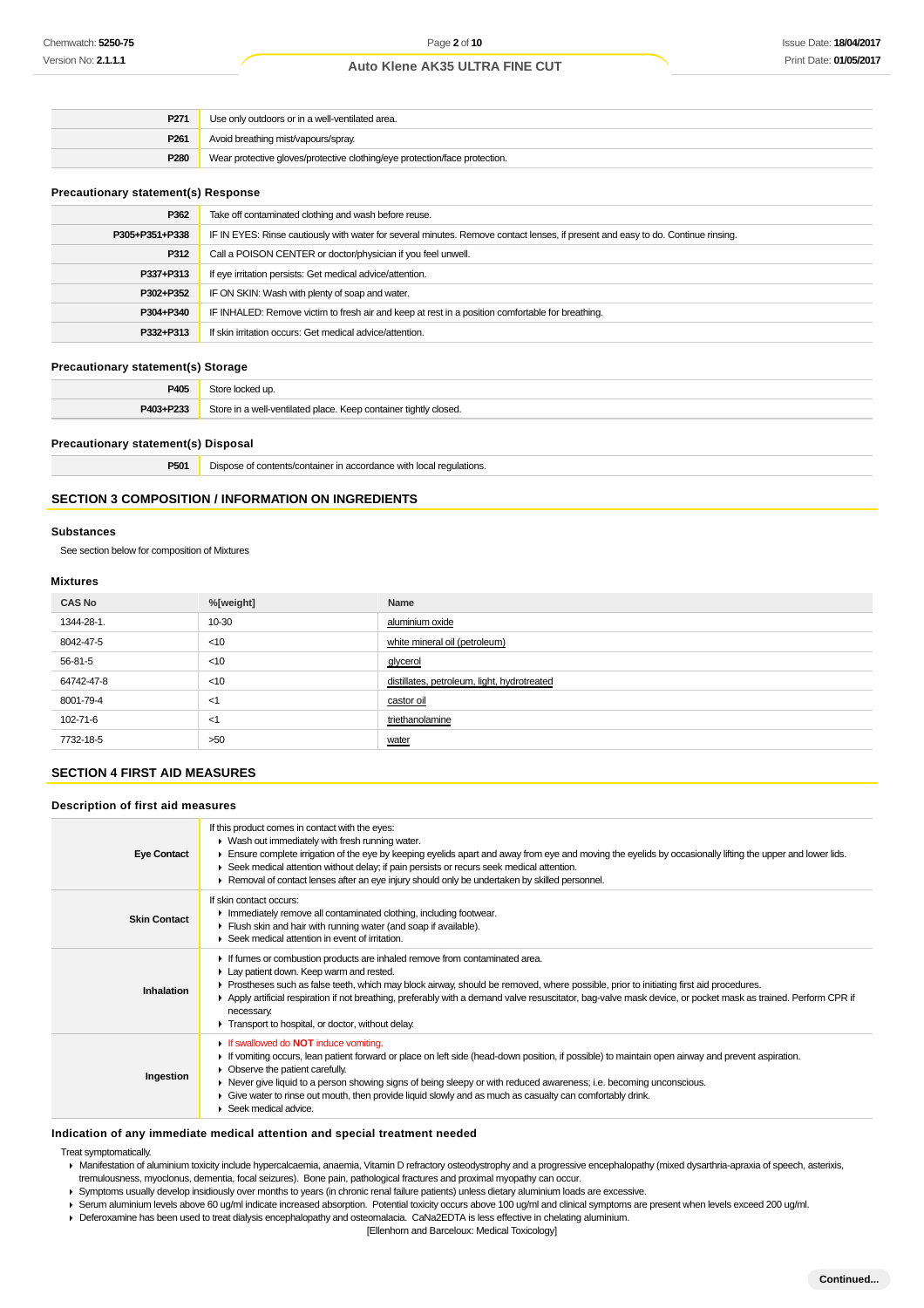| P271 | Use only outdoors or in a well-ventilated area.                            |
|------|----------------------------------------------------------------------------|
| P261 | Avoid breathing mist/vapours/spray.                                        |
| P280 | Wear protective gloves/protective clothing/eye protection/face protection. |

### **Precautionary statement(s) Response**

| P362           | Take off contaminated clothing and wash before reuse.                                                                            |
|----------------|----------------------------------------------------------------------------------------------------------------------------------|
| P305+P351+P338 | IF IN EYES: Rinse cautiously with water for several minutes. Remove contact lenses, if present and easy to do. Continue rinsing. |
| P312           | Call a POISON CENTER or doctor/physician if you feel unwell.                                                                     |
| P337+P313      | If eye irritation persists: Get medical advice/attention.                                                                        |
| P302+P352      | IF ON SKIN: Wash with plenty of soap and water.                                                                                  |
| P304+P340      | IF INHALED: Remove victim to fresh air and keep at rest in a position comfortable for breathing.                                 |
| P332+P313      | If skin irritation occurs: Get medical advice/attention.                                                                         |
|                |                                                                                                                                  |

# **Precautionary statement(s) Storage**

| P405      | Store locked up.                                                 |
|-----------|------------------------------------------------------------------|
| P403+P233 | Store in a well-ventilated place. Keep container tightly closed. |

#### **Precautionary statement(s) Disposal**

**P501** Dispose of contents/container in accordance with local regulations.

### **SECTION 3 COMPOSITION / INFORMATION ON INGREDIENTS**

### **Substances**

See section below for composition of Mixtures

#### **Mixtures**

| <b>CAS No</b> | %[weight] | Name                                        |
|---------------|-----------|---------------------------------------------|
| 1344-28-1.    | 10-30     | aluminium oxide                             |
| 8042-47-5     | $<$ 10    | white mineral oil (petroleum)               |
| 56-81-5       | $<$ 10    | glycerol                                    |
| 64742-47-8    | $<$ 10    | distillates, petroleum, light, hydrotreated |
| 8001-79-4     | <1        | castor oil                                  |
| 102-71-6      | <1        | triethanolamine                             |
| 7732-18-5     | >50       | water                                       |

# **SECTION 4 FIRST AID MEASURES**

### **Description of first aid measures**

| <b>Eye Contact</b>  | If this product comes in contact with the eyes:<br>• Wash out immediately with fresh running water.<br>Ensure complete irrigation of the eye by keeping eyelids apart and away from eye and moving the eyelids by occasionally lifting the upper and lower lids.<br>► Seek medical attention without delay; if pain persists or recurs seek medical attention.<br>► Removal of contact lenses after an eye injury should only be undertaken by skilled personnel.                                   |
|---------------------|-----------------------------------------------------------------------------------------------------------------------------------------------------------------------------------------------------------------------------------------------------------------------------------------------------------------------------------------------------------------------------------------------------------------------------------------------------------------------------------------------------|
| <b>Skin Contact</b> | If skin contact occurs:<br>In mediately remove all contaminated clothing, including footwear.<br>Flush skin and hair with running water (and soap if available).<br>Seek medical attention in event of irritation.                                                                                                                                                                                                                                                                                  |
| Inhalation          | If fumes or combustion products are inhaled remove from contaminated area.<br>Lay patient down. Keep warm and rested.<br>► Prostheses such as false teeth, which may block airway, should be removed, where possible, prior to initiating first aid procedures.<br>▶ Apply artificial respiration if not breathing, preferably with a demand valve resuscitator, bag-valve mask device, or pocket mask as trained. Perform CPR if<br>necessary.<br>Transport to hospital, or doctor, without delay. |
| Ingestion           | If swallowed do <b>NOT</b> induce vomiting.<br>If vomiting occurs, lean patient forward or place on left side (head-down position, if possible) to maintain open airway and prevent aspiration.<br>• Observe the patient carefully.<br>► Never give liquid to a person showing signs of being sleepy or with reduced awareness; i.e. becoming unconscious.<br>• Give water to rinse out mouth, then provide liquid slowly and as much as casualty can comfortably drink.<br>Seek medical advice.    |

#### **Indication of any immediate medical attention and special treatment needed**

Treat symptomatically.

- Manifestation of aluminium toxicity include hypercalcaemia, anaemia, Vitamin D refractory osteodystrophy and a progressive encephalopathy (mixed dysarthria-apraxia of speech, asterixis, tremulousness, myoclonus, dementia, focal seizures). Bone pain, pathological fractures and proximal myopathy can occur.
- Symptoms usually develop insidiously over months to years (in chronic renal failure patients) unless dietary aluminium loads are excessive.
- Serum aluminium levels above 60 ug/ml indicate increased absorption. Potential toxicity occurs above 100 ug/ml and clinical symptoms are present when levels exceed 200 ug/ml.
- Deferoxamine has been used to treat dialysis encephalopathy and osteomalacia. CaNa2EDTA is less effective in chelating aluminium.
	- [Ellenhorn and Barceloux: Medical Toxicology]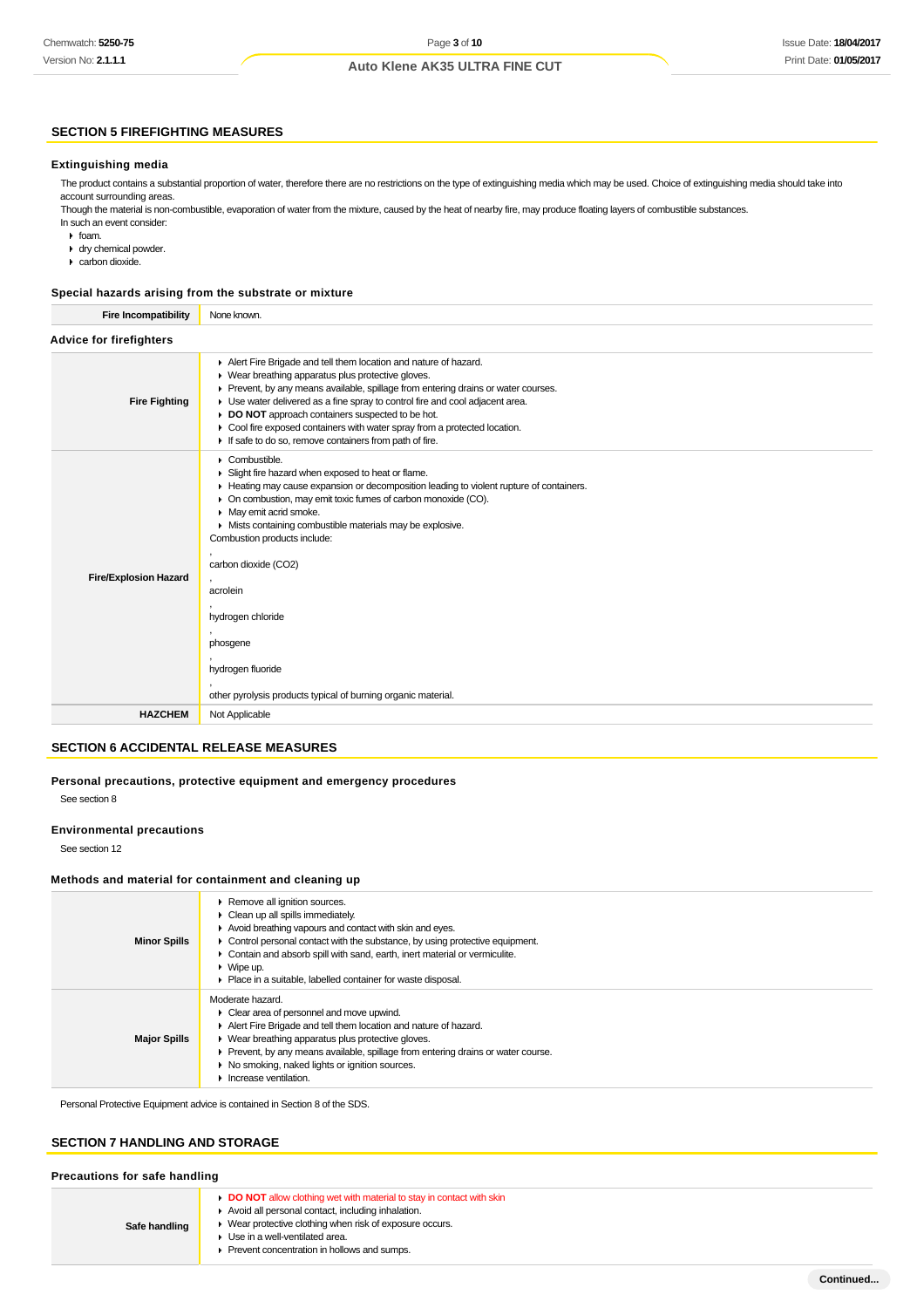# Issue Date: **18/04/2017** Print Date: **01/05/2017**

# **Auto Klene AK35 ULTRA FINE CUT**

# **SECTION 5 FIREFIGHTING MEASURES**

#### **Extinguishing media**

The product contains a substantial proportion of water, therefore there are no restrictions on the type of extinguishing media which may be used. Choice of extinguishing media should take into account surrounding areas.

Though the material is non-combustible, evaporation of water from the mixture, caused by the heat of nearby fire, may produce floating layers of combustible substances. In such an event consider:

 $\cdot$  foam.

- dry chemical powder.
- carbon dioxide.

#### **Special hazards arising from the substrate or mixture**

| <b>Fire Incompatibility</b>    | None known.                                                                                                                                                                                                                                                                                                                                                                                                                                                                                                     |  |  |
|--------------------------------|-----------------------------------------------------------------------------------------------------------------------------------------------------------------------------------------------------------------------------------------------------------------------------------------------------------------------------------------------------------------------------------------------------------------------------------------------------------------------------------------------------------------|--|--|
| <b>Advice for firefighters</b> |                                                                                                                                                                                                                                                                                                                                                                                                                                                                                                                 |  |  |
| <b>Fire Fighting</b>           | Alert Fire Brigade and tell them location and nature of hazard.<br>▶ Wear breathing apparatus plus protective gloves.<br>Prevent, by any means available, spillage from entering drains or water courses.<br>Use water delivered as a fine spray to control fire and cool adjacent area.<br>DO NOT approach containers suspected to be hot.<br>• Cool fire exposed containers with water spray from a protected location.<br>If safe to do so, remove containers from path of fire.                             |  |  |
| <b>Fire/Explosion Hazard</b>   | Combustible.<br>Slight fire hazard when exposed to heat or flame.<br>Heating may cause expansion or decomposition leading to violent rupture of containers.<br>On combustion, may emit toxic fumes of carbon monoxide (CO).<br>• May emit acrid smoke.<br>• Mists containing combustible materials may be explosive.<br>Combustion products include:<br>carbon dioxide (CO2)<br>acrolein<br>hydrogen chloride<br>phosgene<br>hydrogen fluoride<br>other pyrolysis products typical of burning organic material. |  |  |
| <b>HAZCHEM</b>                 | Not Applicable                                                                                                                                                                                                                                                                                                                                                                                                                                                                                                  |  |  |
|                                |                                                                                                                                                                                                                                                                                                                                                                                                                                                                                                                 |  |  |

# **SECTION 6 ACCIDENTAL RELEASE MEASURES**

### **Personal precautions, protective equipment and emergency procedures**

See section 8

### **Environmental precautions**

See section 12

#### **Methods and material for containment and cleaning up**

| <b>Minor Spills</b> | Remove all ignition sources.<br>$\triangleright$ Clean up all spills immediately.<br>Avoid breathing vapours and contact with skin and eyes.<br>$\triangleright$ Control personal contact with the substance, by using protective equipment.<br>Contain and absorb spill with sand, earth, inert material or vermiculite.<br>$\triangleright$ Wipe up.<br>• Place in a suitable, labelled container for waste disposal. |
|---------------------|-------------------------------------------------------------------------------------------------------------------------------------------------------------------------------------------------------------------------------------------------------------------------------------------------------------------------------------------------------------------------------------------------------------------------|
| <b>Major Spills</b> | Moderate hazard.<br>• Clear area of personnel and move upwind.<br>Alert Fire Brigade and tell them location and nature of hazard.<br>• Wear breathing apparatus plus protective gloves.<br>▶ Prevent, by any means available, spillage from entering drains or water course.<br>▶ No smoking, naked lights or ignition sources.<br>Increase ventilation.                                                                |

Personal Protective Equipment advice is contained in Section 8 of the SDS.

# **SECTION 7 HANDLING AND STORAGE**

| Precautions for safe handling |                                                                                                                                                                                                                                                                                 |  |
|-------------------------------|---------------------------------------------------------------------------------------------------------------------------------------------------------------------------------------------------------------------------------------------------------------------------------|--|
| Safe handling                 | <b>DO NOT</b> allow clothing wet with material to stay in contact with skin<br>Avoid all personal contact, including inhalation.<br>• Wear protective clothing when risk of exposure occurs.<br>▶ Use in a well-ventilated area.<br>Prevent concentration in hollows and sumps. |  |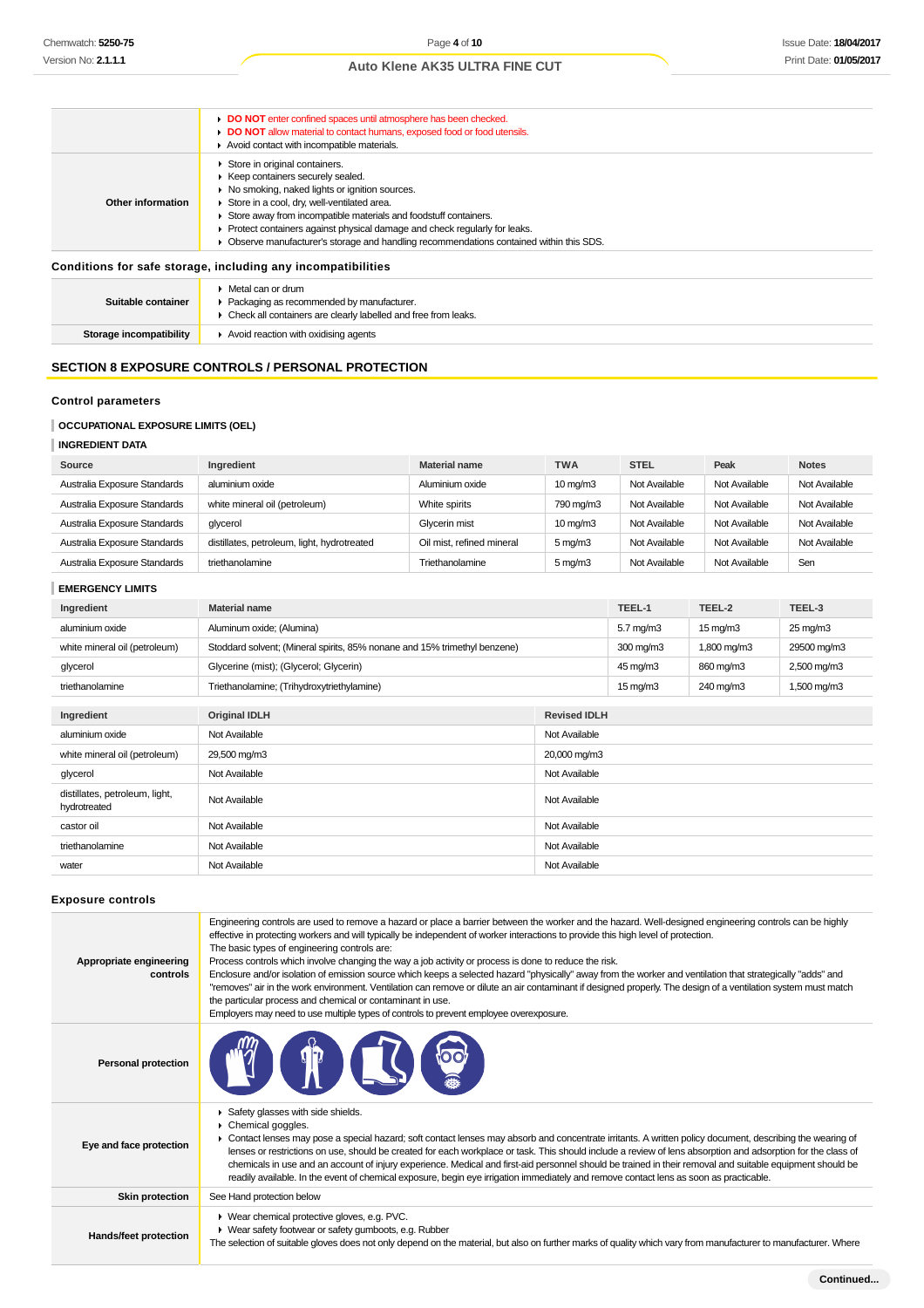|                                                              | DO NOT enter confined spaces until atmosphere has been checked.<br>DO NOT allow material to contact humans, exposed food or food utensils.<br>Avoid contact with incompatible materials.                                                                                                                                                                                                                             |  |
|--------------------------------------------------------------|----------------------------------------------------------------------------------------------------------------------------------------------------------------------------------------------------------------------------------------------------------------------------------------------------------------------------------------------------------------------------------------------------------------------|--|
| Other information                                            | Store in original containers.<br>▶ Keep containers securely sealed.<br>▶ No smoking, naked lights or ignition sources.<br>Store in a cool, dry, well-ventilated area.<br>Store away from incompatible materials and foodstuff containers.<br>▶ Protect containers against physical damage and check regularly for leaks.<br>• Observe manufacturer's storage and handling recommendations contained within this SDS. |  |
| Conditions for safe storage, including any incompatibilities |                                                                                                                                                                                                                                                                                                                                                                                                                      |  |
| Suitable container                                           | $\triangleright$ Metal can or drum<br>▶ Packaging as recommended by manufacturer.<br>• Check all containers are clearly labelled and free from leaks.                                                                                                                                                                                                                                                                |  |

**Storage incompatibility Avoid reaction with oxidising agents** 

# **SECTION 8 EXPOSURE CONTROLS / PERSONAL PROTECTION**

# **Control parameters**

# **OCCUPATIONAL EXPOSURE LIMITS (OEL)**

### **INGREDIENT DATA**

| Source                       | Ingredient                                  | <b>Material name</b>      | <b>TWA</b>        | <b>STEL</b>   | Peak          | <b>Notes</b>  |
|------------------------------|---------------------------------------------|---------------------------|-------------------|---------------|---------------|---------------|
| Australia Exposure Standards | aluminium oxide                             | Aluminium oxide           | $10 \text{ mg/m}$ | Not Available | Not Available | Not Available |
| Australia Exposure Standards | white mineral oil (petroleum)               | White spirits             | 790 mg/m3         | Not Available | Not Available | Not Available |
| Australia Exposure Standards | qlycerol                                    | Glycerin mist             | $10 \text{ mg/m}$ | Not Available | Not Available | Not Available |
| Australia Exposure Standards | distillates, petroleum, light, hydrotreated | Oil mist, refined mineral | $5 \text{ mg/m}$  | Not Available | Not Available | Not Available |
| Australia Exposure Standards | triethanolamine                             | Triethanolamine           | $5 \text{ mg/m}$  | Not Available | Not Available | Sen           |

**EMERGENCY LIMITS**

| Ingredient                                     | Material name                                                             |                     | TEEL-1               | TEEL-2            | TEEL-3                 |
|------------------------------------------------|---------------------------------------------------------------------------|---------------------|----------------------|-------------------|------------------------|
| aluminium oxide                                | Aluminum oxide; (Alumina)                                                 |                     | $5.7 \text{ mg/m}$ 3 | $15 \text{ mg/m}$ | $25 \,\mathrm{mq/m}$ 3 |
| white mineral oil (petroleum)                  | Stoddard solvent; (Mineral spirits, 85% nonane and 15% trimethyl benzene) |                     | 300 mg/m3            | 1,800 mg/m3       | 29500 mg/m3            |
| glycerol                                       | Glycerine (mist); (Glycerol; Glycerin)                                    |                     | 45 mg/m3             | 860 mg/m3         | 2,500 mg/m3            |
| triethanolamine                                | Triethanolamine; (Trihydroxytriethylamine)                                |                     | $15 \text{ mg/m}$    | 240 mg/m3         | 1,500 mg/m3            |
|                                                |                                                                           |                     |                      |                   |                        |
| Ingredient                                     | <b>Original IDLH</b>                                                      | <b>Revised IDLH</b> |                      |                   |                        |
| aluminium oxide                                | Not Available                                                             | Not Available       |                      |                   |                        |
| white mineral oil (petroleum)                  | 29,500 mg/m3                                                              | 20,000 mg/m3        |                      |                   |                        |
| glycerol                                       | Not Available                                                             | Not Available       |                      |                   |                        |
| distillates, petroleum, light,<br>hydrotreated | Not Available                                                             | Not Available       |                      |                   |                        |
| castor oil                                     | Not Available                                                             | Not Available       |                      |                   |                        |
| triethanolamine                                | Not Available                                                             | Not Available       |                      |                   |                        |
| water                                          | Not Available                                                             | Not Available       |                      |                   |                        |

# **Exposure controls**

| Appropriate engineering<br>controls | Engineering controls are used to remove a hazard or place a barrier between the worker and the hazard. Well-designed engineering controls can be highly<br>effective in protecting workers and will typically be independent of worker interactions to provide this high level of protection.<br>The basic types of engineering controls are:<br>Process controls which involve changing the way a job activity or process is done to reduce the risk.<br>Enclosure and/or isolation of emission source which keeps a selected hazard "physically" away from the worker and ventilation that strategically "adds" and<br>"removes" air in the work environment. Ventilation can remove or dilute an air contaminant if designed properly. The design of a ventilation system must match<br>the particular process and chemical or contaminant in use.<br>Employers may need to use multiple types of controls to prevent employee overexposure. |
|-------------------------------------|-------------------------------------------------------------------------------------------------------------------------------------------------------------------------------------------------------------------------------------------------------------------------------------------------------------------------------------------------------------------------------------------------------------------------------------------------------------------------------------------------------------------------------------------------------------------------------------------------------------------------------------------------------------------------------------------------------------------------------------------------------------------------------------------------------------------------------------------------------------------------------------------------------------------------------------------------|
| <b>Personal protection</b>          | <b>TRACK</b>                                                                                                                                                                                                                                                                                                                                                                                                                                                                                                                                                                                                                                                                                                                                                                                                                                                                                                                                    |
| Eye and face protection             | Safety glasses with side shields.<br>Chemical goggles.<br>• Contact lenses may pose a special hazard; soft contact lenses may absorb and concentrate irritants. A written policy document, describing the wearing of<br>lenses or restrictions on use, should be created for each workplace or task. This should include a review of lens absorption and adsorption for the class of<br>chemicals in use and an account of injury experience. Medical and first-aid personnel should be trained in their removal and suitable equipment should be<br>readily available. In the event of chemical exposure, begin eye irrigation immediately and remove contact lens as soon as practicable.                                                                                                                                                                                                                                                     |
| <b>Skin protection</b>              | See Hand protection below                                                                                                                                                                                                                                                                                                                                                                                                                                                                                                                                                                                                                                                                                                                                                                                                                                                                                                                       |
| Hands/feet protection               | ▶ Wear chemical protective gloves, e.g. PVC.<br>• Wear safety footwear or safety gumboots, e.g. Rubber<br>The selection of suitable gloves does not only depend on the material, but also on further marks of quality which vary from manufacturer to manufacturer. Where                                                                                                                                                                                                                                                                                                                                                                                                                                                                                                                                                                                                                                                                       |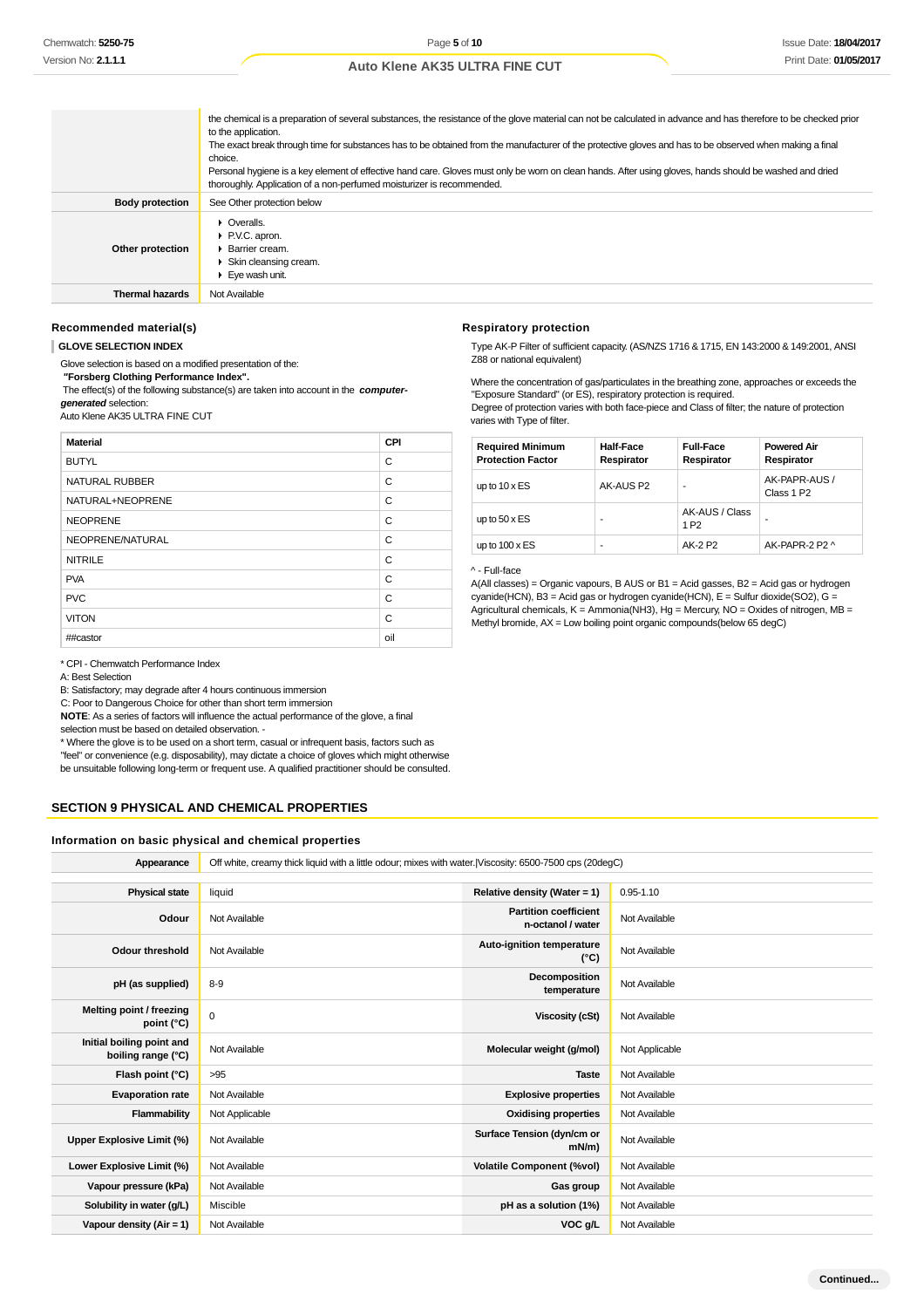|                        | the chemical is a preparation of several substances, the resistance of the glove material can not be calculated in advance and has therefore to be checked prior<br>to the application.<br>The exact break through time for substances has to be obtained from the manufacturer of the protective gloves and has to be observed when making a final<br>choice.<br>Personal hygiene is a key element of effective hand care. Gloves must only be worn on clean hands. After using gloves, hands should be washed and dried<br>thoroughly. Application of a non-perfumed moisturizer is recommended. |
|------------------------|----------------------------------------------------------------------------------------------------------------------------------------------------------------------------------------------------------------------------------------------------------------------------------------------------------------------------------------------------------------------------------------------------------------------------------------------------------------------------------------------------------------------------------------------------------------------------------------------------|
| <b>Body protection</b> | See Other protection below                                                                                                                                                                                                                                                                                                                                                                                                                                                                                                                                                                         |
| Other protection       | $\triangleright$ Overalls.<br>▶ P.V.C. apron.<br>$\blacktriangleright$ Barrier cream.<br>▶ Skin cleansing cream.<br>Eve wash unit.                                                                                                                                                                                                                                                                                                                                                                                                                                                                 |
| <b>Thermal hazards</b> | Not Available                                                                                                                                                                                                                                                                                                                                                                                                                                                                                                                                                                                      |

#### **Recommended material(s)**

#### **GLOVE SELECTION INDEX**

Glove selection is based on a modified presentation of the:

 **"Forsberg Clothing Performance Index".**

 The effect(s) of the following substance(s) are taken into account in the **computergenerated** selection:

Auto Klene AK35 ULTRA FINE CUT

| <b>Material</b>       | CPI |
|-----------------------|-----|
| <b>BUTYL</b>          | C   |
| <b>NATURAL RUBBER</b> | C   |
| NATURAL+NEOPRENE      | C   |
| <b>NEOPRENE</b>       | C   |
| NEOPRENE/NATURAL      | C   |
| <b>NITRILE</b>        | C   |
| <b>PVA</b>            | C   |
| <b>PVC</b>            | C   |
| <b>VITON</b>          | C   |
| ##castor              | oil |

\* CPI - Chemwatch Performance Index

A: Best Selection

B: Satisfactory; may degrade after 4 hours continuous immersion

C: Poor to Dangerous Choice for other than short term immersion

**NOTE**: As a series of factors will influence the actual performance of the glove, a final selection must be based on detailed observation -

\* Where the glove is to be used on a short term, casual or infrequent basis, factors such as

"feel" or convenience (e.g. disposability), may dictate a choice of gloves which might otherwise

be unsuitable following long-term or frequent use. A qualified practitioner should be consulted.

# **SECTION 9 PHYSICAL AND CHEMICAL PROPERTIES**

### **Information on basic physical and chemical properties**

**Appearance** Off white, creamy thick liquid with a little odour; mixes with water.|Viscosity: 6500-7500 cps (20degC)

| <b>Physical state</b>                           | liquid         | Relative density (Water = 1)                      | $0.95 - 1.10$  |
|-------------------------------------------------|----------------|---------------------------------------------------|----------------|
| Odour                                           | Not Available  | <b>Partition coefficient</b><br>n-octanol / water | Not Available  |
| Odour threshold                                 | Not Available  | Auto-ignition temperature<br>$(^{\circ}C)$        | Not Available  |
| pH (as supplied)                                | $8-9$          | Decomposition<br>temperature                      | Not Available  |
| Melting point / freezing<br>point $(^{\circ}C)$ | $\mathbf 0$    | Viscosity (cSt)                                   | Not Available  |
| Initial boiling point and<br>boiling range (°C) | Not Available  | Molecular weight (g/mol)                          | Not Applicable |
| Flash point (°C)                                | >95            | <b>Taste</b>                                      | Not Available  |
| <b>Evaporation rate</b>                         | Not Available  | <b>Explosive properties</b>                       | Not Available  |
| Flammability                                    | Not Applicable | <b>Oxidising properties</b>                       | Not Available  |
| Upper Explosive Limit (%)                       | Not Available  | Surface Tension (dyn/cm or<br>$mN/m$ )            | Not Available  |
| Lower Explosive Limit (%)                       | Not Available  | <b>Volatile Component (%vol)</b>                  | Not Available  |
| Vapour pressure (kPa)                           | Not Available  | Gas group                                         | Not Available  |
| Solubility in water (g/L)                       | Miscible       | pH as a solution (1%)                             | Not Available  |
| Vapour density (Air = 1)                        | Not Available  | VOC g/L                                           | Not Available  |

**Continued...**

# **Auto Klene AK35 ULTRA FINE CUT**

# **Respiratory protection**

Type AK-P Filter of sufficient capacity. (AS/NZS 1716 & 1715, EN 143:2000 & 149:2001, ANSI Z88 or national equivalent)

Where the concentration of gas/particulates in the breathing zone, approaches or exceeds the "Exposure Standard" (or ES), respiratory protection is required.

Degree of protection varies with both face-piece and Class of filter; the nature of protection varies with Type of filter.

| <b>Required Minimum</b><br><b>Protection Factor</b> | <b>Half-Face</b><br>Respirator | <b>Full-Face</b><br>Respirator     | <b>Powered Air</b><br>Respirator        |
|-----------------------------------------------------|--------------------------------|------------------------------------|-----------------------------------------|
| up to $10 \times ES$                                | AK-AUS P2                      | -                                  | AK-PAPR-AUS /<br>Class 1 P <sub>2</sub> |
| up to $50 \times ES$                                |                                | AK-AUS / Class<br>1 P <sub>2</sub> |                                         |
| up to $100 \times ES$                               | ۰                              | AK-2 P2                            | AK-PAPR-2 P2 ^                          |

#### ^ - Full-face

A(All classes) = Organic vapours, B AUS or B1 = Acid gasses, B2 = Acid gas or hydrogen cyanide(HCN), B3 = Acid gas or hydrogen cyanide(HCN), E = Sulfur dioxide(SO2), G = Agricultural chemicals, K = Ammonia(NH3), Hg = Mercury, NO = Oxides of nitrogen, MB = Methyl bromide, AX = Low boiling point organic compounds(below 65 degC)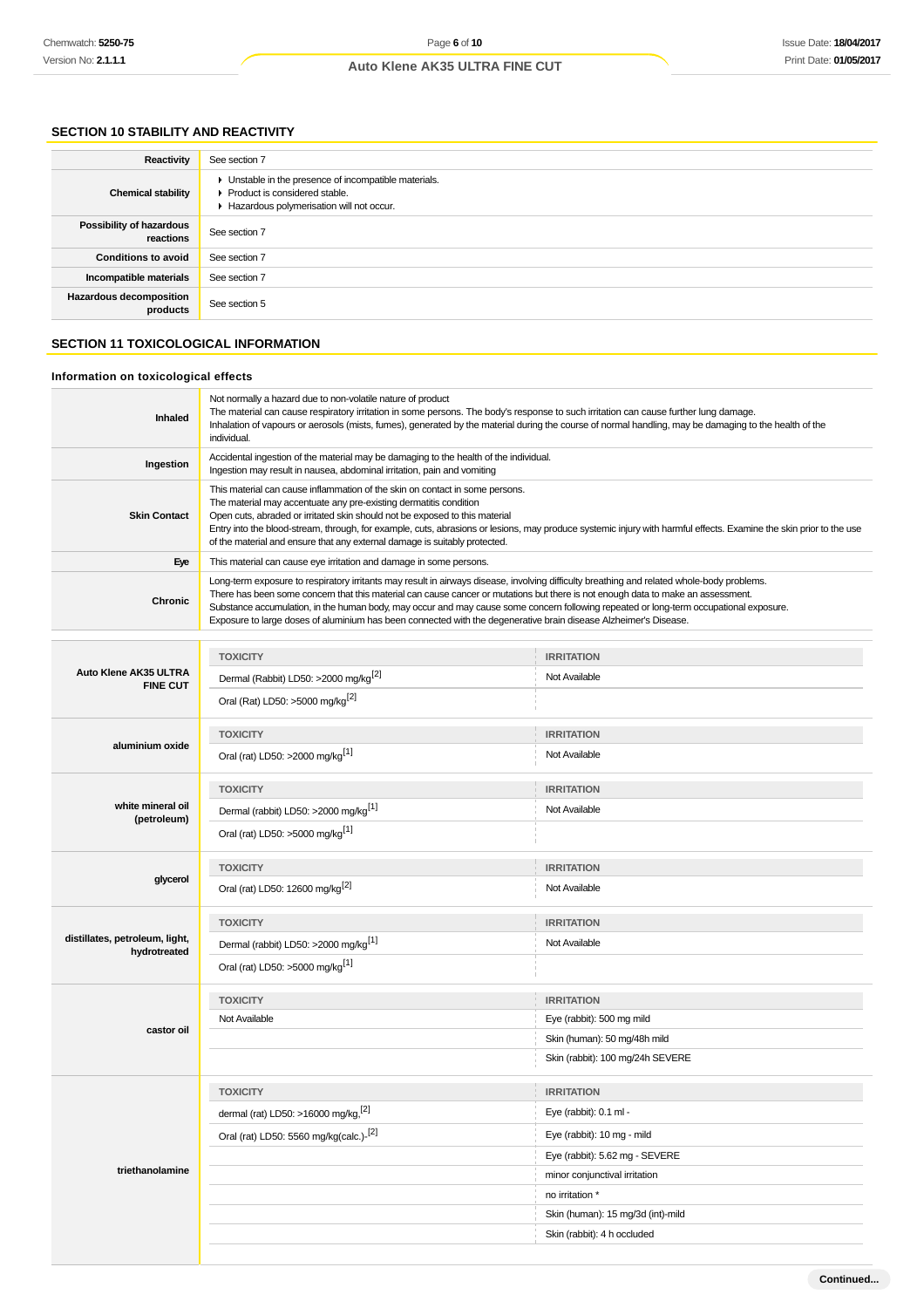# **SECTION 10 STABILITY AND REACTIVITY**

| Reactivity                                 | See section 7                                                                                                                      |
|--------------------------------------------|------------------------------------------------------------------------------------------------------------------------------------|
| <b>Chemical stability</b>                  | • Unstable in the presence of incompatible materials.<br>Product is considered stable.<br>Hazardous polymerisation will not occur. |
| Possibility of hazardous<br>reactions      | See section 7                                                                                                                      |
| <b>Conditions to avoid</b>                 | See section 7                                                                                                                      |
| Incompatible materials                     | See section 7                                                                                                                      |
| <b>Hazardous decomposition</b><br>products | See section 5                                                                                                                      |

# **SECTION 11 TOXICOLOGICAL INFORMATION**

# **Information on toxicological effects**

| Accidental ingestion of the material may be damaging to the health of the individual.<br>Ingestion<br>Ingestion may result in nausea, abdominal irritation, pain and vomiting<br>This material can cause inflammation of the skin on contact in some persons.<br>The material may accentuate any pre-existing dermatitis condition<br><b>Skin Contact</b><br>Open cuts, abraded or irritated skin should not be exposed to this material<br>Entry into the blood-stream, through, for example, cuts, abrasions or lesions, may produce systemic injury with harmful effects. Examine the skin prior to the use<br>of the material and ensure that any external damage is suitably protected.<br>This material can cause eye irritation and damage in some persons.<br>Eye<br>Long-term exposure to respiratory irritants may result in airways disease, involving difficulty breathing and related whole-body problems.<br>There has been some concern that this material can cause cancer or mutations but there is not enough data to make an assessment.<br><b>Chronic</b><br>Substance accumulation, in the human body, may occur and may cause some concern following repeated or long-term occupational exposure.<br>Exposure to large doses of aluminium has been connected with the degenerative brain disease Alzheimer's Disease.<br><b>TOXICITY</b><br><b>IRRITATION</b><br>Auto Klene AK35 ULTRA<br>Dermal (Rabbit) LD50: >2000 mg/kg <sup>[2]</sup><br>Not Available<br><b>FINE CUT</b><br>Oral (Rat) LD50: >5000 mg/kg <sup>[2]</sup><br><b>TOXICITY</b><br><b>IRRITATION</b><br>aluminium oxide<br>Oral (rat) LD50: >2000 mg/kg <sup>[1]</sup><br>Not Available<br><b>TOXICITY</b><br><b>IRRITATION</b><br>white mineral oil<br>Dermal (rabbit) LD50: >2000 mg/kg <sup>[1]</sup><br>Not Available<br>(petroleum)<br>Oral (rat) LD50: >5000 mg/kg <sup>[1]</sup><br><b>TOXICITY</b><br><b>IRRITATION</b><br>glycerol<br>Oral (rat) LD50: 12600 mg/kg <sup>[2]</sup><br>Not Available<br><b>TOXICITY</b><br><b>IRRITATION</b><br>distillates, petroleum, light,<br>Dermal (rabbit) LD50: >2000 mg/kg <sup>[1]</sup><br>Not Available<br>hydrotreated<br>Oral (rat) LD50: >5000 mg/kg <sup>[1]</sup><br><b>TOXICITY</b><br><b>IRRITATION</b><br>Not Available<br>Eye (rabbit): 500 mg mild<br>castor oil<br>Skin (human): 50 mg/48h mild<br>Skin (rabbit): 100 mg/24h SEVERE<br><b>IRRITATION</b><br><b>TOXICITY</b><br>dermal (rat) LD50: >16000 mg/kg, [2]<br>Eye (rabbit): 0.1 ml -<br>Oral (rat) LD50: 5560 mg/kg(calc.)-[2]<br>Eye (rabbit): 10 mg - mild<br>Eye (rabbit): 5.62 mg - SEVERE<br>triethanolamine<br>minor conjunctival irritation<br>no irritation *<br>Skin (human): 15 mg/3d (int)-mild<br>Skin (rabbit): 4 h occluded | Inhaled | Not normally a hazard due to non-volatile nature of product<br>The material can cause respiratory irritation in some persons. The body's response to such irritation can cause further lung damage.<br>Inhalation of vapours or aerosols (mists, fumes), generated by the material during the course of normal handling, may be damaging to the health of the<br>individual. |  |  |  |
|---------------------------------------------------------------------------------------------------------------------------------------------------------------------------------------------------------------------------------------------------------------------------------------------------------------------------------------------------------------------------------------------------------------------------------------------------------------------------------------------------------------------------------------------------------------------------------------------------------------------------------------------------------------------------------------------------------------------------------------------------------------------------------------------------------------------------------------------------------------------------------------------------------------------------------------------------------------------------------------------------------------------------------------------------------------------------------------------------------------------------------------------------------------------------------------------------------------------------------------------------------------------------------------------------------------------------------------------------------------------------------------------------------------------------------------------------------------------------------------------------------------------------------------------------------------------------------------------------------------------------------------------------------------------------------------------------------------------------------------------------------------------------------------------------------------------------------------------------------------------------------------------------------------------------------------------------------------------------------------------------------------------------------------------------------------------------------------------------------------------------------------------------------------------------------------------------------------------------------------------------------------------------------------------------------------------------------------------------------------------------------------------------------------------------------------------------------------------------------------------------------------------------------------------------------------------------------------------------------------------------------------------------------------------------------------------------------------------------------------------------------|---------|------------------------------------------------------------------------------------------------------------------------------------------------------------------------------------------------------------------------------------------------------------------------------------------------------------------------------------------------------------------------------|--|--|--|
|                                                                                                                                                                                                                                                                                                                                                                                                                                                                                                                                                                                                                                                                                                                                                                                                                                                                                                                                                                                                                                                                                                                                                                                                                                                                                                                                                                                                                                                                                                                                                                                                                                                                                                                                                                                                                                                                                                                                                                                                                                                                                                                                                                                                                                                                                                                                                                                                                                                                                                                                                                                                                                                                                                                                                         |         |                                                                                                                                                                                                                                                                                                                                                                              |  |  |  |
|                                                                                                                                                                                                                                                                                                                                                                                                                                                                                                                                                                                                                                                                                                                                                                                                                                                                                                                                                                                                                                                                                                                                                                                                                                                                                                                                                                                                                                                                                                                                                                                                                                                                                                                                                                                                                                                                                                                                                                                                                                                                                                                                                                                                                                                                                                                                                                                                                                                                                                                                                                                                                                                                                                                                                         |         |                                                                                                                                                                                                                                                                                                                                                                              |  |  |  |
|                                                                                                                                                                                                                                                                                                                                                                                                                                                                                                                                                                                                                                                                                                                                                                                                                                                                                                                                                                                                                                                                                                                                                                                                                                                                                                                                                                                                                                                                                                                                                                                                                                                                                                                                                                                                                                                                                                                                                                                                                                                                                                                                                                                                                                                                                                                                                                                                                                                                                                                                                                                                                                                                                                                                                         |         |                                                                                                                                                                                                                                                                                                                                                                              |  |  |  |
|                                                                                                                                                                                                                                                                                                                                                                                                                                                                                                                                                                                                                                                                                                                                                                                                                                                                                                                                                                                                                                                                                                                                                                                                                                                                                                                                                                                                                                                                                                                                                                                                                                                                                                                                                                                                                                                                                                                                                                                                                                                                                                                                                                                                                                                                                                                                                                                                                                                                                                                                                                                                                                                                                                                                                         |         |                                                                                                                                                                                                                                                                                                                                                                              |  |  |  |
|                                                                                                                                                                                                                                                                                                                                                                                                                                                                                                                                                                                                                                                                                                                                                                                                                                                                                                                                                                                                                                                                                                                                                                                                                                                                                                                                                                                                                                                                                                                                                                                                                                                                                                                                                                                                                                                                                                                                                                                                                                                                                                                                                                                                                                                                                                                                                                                                                                                                                                                                                                                                                                                                                                                                                         |         |                                                                                                                                                                                                                                                                                                                                                                              |  |  |  |
|                                                                                                                                                                                                                                                                                                                                                                                                                                                                                                                                                                                                                                                                                                                                                                                                                                                                                                                                                                                                                                                                                                                                                                                                                                                                                                                                                                                                                                                                                                                                                                                                                                                                                                                                                                                                                                                                                                                                                                                                                                                                                                                                                                                                                                                                                                                                                                                                                                                                                                                                                                                                                                                                                                                                                         |         |                                                                                                                                                                                                                                                                                                                                                                              |  |  |  |
|                                                                                                                                                                                                                                                                                                                                                                                                                                                                                                                                                                                                                                                                                                                                                                                                                                                                                                                                                                                                                                                                                                                                                                                                                                                                                                                                                                                                                                                                                                                                                                                                                                                                                                                                                                                                                                                                                                                                                                                                                                                                                                                                                                                                                                                                                                                                                                                                                                                                                                                                                                                                                                                                                                                                                         |         |                                                                                                                                                                                                                                                                                                                                                                              |  |  |  |
|                                                                                                                                                                                                                                                                                                                                                                                                                                                                                                                                                                                                                                                                                                                                                                                                                                                                                                                                                                                                                                                                                                                                                                                                                                                                                                                                                                                                                                                                                                                                                                                                                                                                                                                                                                                                                                                                                                                                                                                                                                                                                                                                                                                                                                                                                                                                                                                                                                                                                                                                                                                                                                                                                                                                                         |         |                                                                                                                                                                                                                                                                                                                                                                              |  |  |  |
|                                                                                                                                                                                                                                                                                                                                                                                                                                                                                                                                                                                                                                                                                                                                                                                                                                                                                                                                                                                                                                                                                                                                                                                                                                                                                                                                                                                                                                                                                                                                                                                                                                                                                                                                                                                                                                                                                                                                                                                                                                                                                                                                                                                                                                                                                                                                                                                                                                                                                                                                                                                                                                                                                                                                                         |         |                                                                                                                                                                                                                                                                                                                                                                              |  |  |  |
|                                                                                                                                                                                                                                                                                                                                                                                                                                                                                                                                                                                                                                                                                                                                                                                                                                                                                                                                                                                                                                                                                                                                                                                                                                                                                                                                                                                                                                                                                                                                                                                                                                                                                                                                                                                                                                                                                                                                                                                                                                                                                                                                                                                                                                                                                                                                                                                                                                                                                                                                                                                                                                                                                                                                                         |         |                                                                                                                                                                                                                                                                                                                                                                              |  |  |  |
|                                                                                                                                                                                                                                                                                                                                                                                                                                                                                                                                                                                                                                                                                                                                                                                                                                                                                                                                                                                                                                                                                                                                                                                                                                                                                                                                                                                                                                                                                                                                                                                                                                                                                                                                                                                                                                                                                                                                                                                                                                                                                                                                                                                                                                                                                                                                                                                                                                                                                                                                                                                                                                                                                                                                                         |         |                                                                                                                                                                                                                                                                                                                                                                              |  |  |  |
|                                                                                                                                                                                                                                                                                                                                                                                                                                                                                                                                                                                                                                                                                                                                                                                                                                                                                                                                                                                                                                                                                                                                                                                                                                                                                                                                                                                                                                                                                                                                                                                                                                                                                                                                                                                                                                                                                                                                                                                                                                                                                                                                                                                                                                                                                                                                                                                                                                                                                                                                                                                                                                                                                                                                                         |         |                                                                                                                                                                                                                                                                                                                                                                              |  |  |  |
|                                                                                                                                                                                                                                                                                                                                                                                                                                                                                                                                                                                                                                                                                                                                                                                                                                                                                                                                                                                                                                                                                                                                                                                                                                                                                                                                                                                                                                                                                                                                                                                                                                                                                                                                                                                                                                                                                                                                                                                                                                                                                                                                                                                                                                                                                                                                                                                                                                                                                                                                                                                                                                                                                                                                                         |         |                                                                                                                                                                                                                                                                                                                                                                              |  |  |  |
|                                                                                                                                                                                                                                                                                                                                                                                                                                                                                                                                                                                                                                                                                                                                                                                                                                                                                                                                                                                                                                                                                                                                                                                                                                                                                                                                                                                                                                                                                                                                                                                                                                                                                                                                                                                                                                                                                                                                                                                                                                                                                                                                                                                                                                                                                                                                                                                                                                                                                                                                                                                                                                                                                                                                                         |         |                                                                                                                                                                                                                                                                                                                                                                              |  |  |  |
|                                                                                                                                                                                                                                                                                                                                                                                                                                                                                                                                                                                                                                                                                                                                                                                                                                                                                                                                                                                                                                                                                                                                                                                                                                                                                                                                                                                                                                                                                                                                                                                                                                                                                                                                                                                                                                                                                                                                                                                                                                                                                                                                                                                                                                                                                                                                                                                                                                                                                                                                                                                                                                                                                                                                                         |         |                                                                                                                                                                                                                                                                                                                                                                              |  |  |  |
|                                                                                                                                                                                                                                                                                                                                                                                                                                                                                                                                                                                                                                                                                                                                                                                                                                                                                                                                                                                                                                                                                                                                                                                                                                                                                                                                                                                                                                                                                                                                                                                                                                                                                                                                                                                                                                                                                                                                                                                                                                                                                                                                                                                                                                                                                                                                                                                                                                                                                                                                                                                                                                                                                                                                                         |         |                                                                                                                                                                                                                                                                                                                                                                              |  |  |  |
|                                                                                                                                                                                                                                                                                                                                                                                                                                                                                                                                                                                                                                                                                                                                                                                                                                                                                                                                                                                                                                                                                                                                                                                                                                                                                                                                                                                                                                                                                                                                                                                                                                                                                                                                                                                                                                                                                                                                                                                                                                                                                                                                                                                                                                                                                                                                                                                                                                                                                                                                                                                                                                                                                                                                                         |         |                                                                                                                                                                                                                                                                                                                                                                              |  |  |  |
|                                                                                                                                                                                                                                                                                                                                                                                                                                                                                                                                                                                                                                                                                                                                                                                                                                                                                                                                                                                                                                                                                                                                                                                                                                                                                                                                                                                                                                                                                                                                                                                                                                                                                                                                                                                                                                                                                                                                                                                                                                                                                                                                                                                                                                                                                                                                                                                                                                                                                                                                                                                                                                                                                                                                                         |         |                                                                                                                                                                                                                                                                                                                                                                              |  |  |  |
|                                                                                                                                                                                                                                                                                                                                                                                                                                                                                                                                                                                                                                                                                                                                                                                                                                                                                                                                                                                                                                                                                                                                                                                                                                                                                                                                                                                                                                                                                                                                                                                                                                                                                                                                                                                                                                                                                                                                                                                                                                                                                                                                                                                                                                                                                                                                                                                                                                                                                                                                                                                                                                                                                                                                                         |         |                                                                                                                                                                                                                                                                                                                                                                              |  |  |  |
|                                                                                                                                                                                                                                                                                                                                                                                                                                                                                                                                                                                                                                                                                                                                                                                                                                                                                                                                                                                                                                                                                                                                                                                                                                                                                                                                                                                                                                                                                                                                                                                                                                                                                                                                                                                                                                                                                                                                                                                                                                                                                                                                                                                                                                                                                                                                                                                                                                                                                                                                                                                                                                                                                                                                                         |         |                                                                                                                                                                                                                                                                                                                                                                              |  |  |  |
|                                                                                                                                                                                                                                                                                                                                                                                                                                                                                                                                                                                                                                                                                                                                                                                                                                                                                                                                                                                                                                                                                                                                                                                                                                                                                                                                                                                                                                                                                                                                                                                                                                                                                                                                                                                                                                                                                                                                                                                                                                                                                                                                                                                                                                                                                                                                                                                                                                                                                                                                                                                                                                                                                                                                                         |         |                                                                                                                                                                                                                                                                                                                                                                              |  |  |  |
|                                                                                                                                                                                                                                                                                                                                                                                                                                                                                                                                                                                                                                                                                                                                                                                                                                                                                                                                                                                                                                                                                                                                                                                                                                                                                                                                                                                                                                                                                                                                                                                                                                                                                                                                                                                                                                                                                                                                                                                                                                                                                                                                                                                                                                                                                                                                                                                                                                                                                                                                                                                                                                                                                                                                                         |         |                                                                                                                                                                                                                                                                                                                                                                              |  |  |  |
|                                                                                                                                                                                                                                                                                                                                                                                                                                                                                                                                                                                                                                                                                                                                                                                                                                                                                                                                                                                                                                                                                                                                                                                                                                                                                                                                                                                                                                                                                                                                                                                                                                                                                                                                                                                                                                                                                                                                                                                                                                                                                                                                                                                                                                                                                                                                                                                                                                                                                                                                                                                                                                                                                                                                                         |         |                                                                                                                                                                                                                                                                                                                                                                              |  |  |  |
|                                                                                                                                                                                                                                                                                                                                                                                                                                                                                                                                                                                                                                                                                                                                                                                                                                                                                                                                                                                                                                                                                                                                                                                                                                                                                                                                                                                                                                                                                                                                                                                                                                                                                                                                                                                                                                                                                                                                                                                                                                                                                                                                                                                                                                                                                                                                                                                                                                                                                                                                                                                                                                                                                                                                                         |         |                                                                                                                                                                                                                                                                                                                                                                              |  |  |  |
|                                                                                                                                                                                                                                                                                                                                                                                                                                                                                                                                                                                                                                                                                                                                                                                                                                                                                                                                                                                                                                                                                                                                                                                                                                                                                                                                                                                                                                                                                                                                                                                                                                                                                                                                                                                                                                                                                                                                                                                                                                                                                                                                                                                                                                                                                                                                                                                                                                                                                                                                                                                                                                                                                                                                                         |         |                                                                                                                                                                                                                                                                                                                                                                              |  |  |  |
|                                                                                                                                                                                                                                                                                                                                                                                                                                                                                                                                                                                                                                                                                                                                                                                                                                                                                                                                                                                                                                                                                                                                                                                                                                                                                                                                                                                                                                                                                                                                                                                                                                                                                                                                                                                                                                                                                                                                                                                                                                                                                                                                                                                                                                                                                                                                                                                                                                                                                                                                                                                                                                                                                                                                                         |         |                                                                                                                                                                                                                                                                                                                                                                              |  |  |  |
|                                                                                                                                                                                                                                                                                                                                                                                                                                                                                                                                                                                                                                                                                                                                                                                                                                                                                                                                                                                                                                                                                                                                                                                                                                                                                                                                                                                                                                                                                                                                                                                                                                                                                                                                                                                                                                                                                                                                                                                                                                                                                                                                                                                                                                                                                                                                                                                                                                                                                                                                                                                                                                                                                                                                                         |         |                                                                                                                                                                                                                                                                                                                                                                              |  |  |  |
|                                                                                                                                                                                                                                                                                                                                                                                                                                                                                                                                                                                                                                                                                                                                                                                                                                                                                                                                                                                                                                                                                                                                                                                                                                                                                                                                                                                                                                                                                                                                                                                                                                                                                                                                                                                                                                                                                                                                                                                                                                                                                                                                                                                                                                                                                                                                                                                                                                                                                                                                                                                                                                                                                                                                                         |         |                                                                                                                                                                                                                                                                                                                                                                              |  |  |  |
|                                                                                                                                                                                                                                                                                                                                                                                                                                                                                                                                                                                                                                                                                                                                                                                                                                                                                                                                                                                                                                                                                                                                                                                                                                                                                                                                                                                                                                                                                                                                                                                                                                                                                                                                                                                                                                                                                                                                                                                                                                                                                                                                                                                                                                                                                                                                                                                                                                                                                                                                                                                                                                                                                                                                                         |         |                                                                                                                                                                                                                                                                                                                                                                              |  |  |  |
|                                                                                                                                                                                                                                                                                                                                                                                                                                                                                                                                                                                                                                                                                                                                                                                                                                                                                                                                                                                                                                                                                                                                                                                                                                                                                                                                                                                                                                                                                                                                                                                                                                                                                                                                                                                                                                                                                                                                                                                                                                                                                                                                                                                                                                                                                                                                                                                                                                                                                                                                                                                                                                                                                                                                                         |         |                                                                                                                                                                                                                                                                                                                                                                              |  |  |  |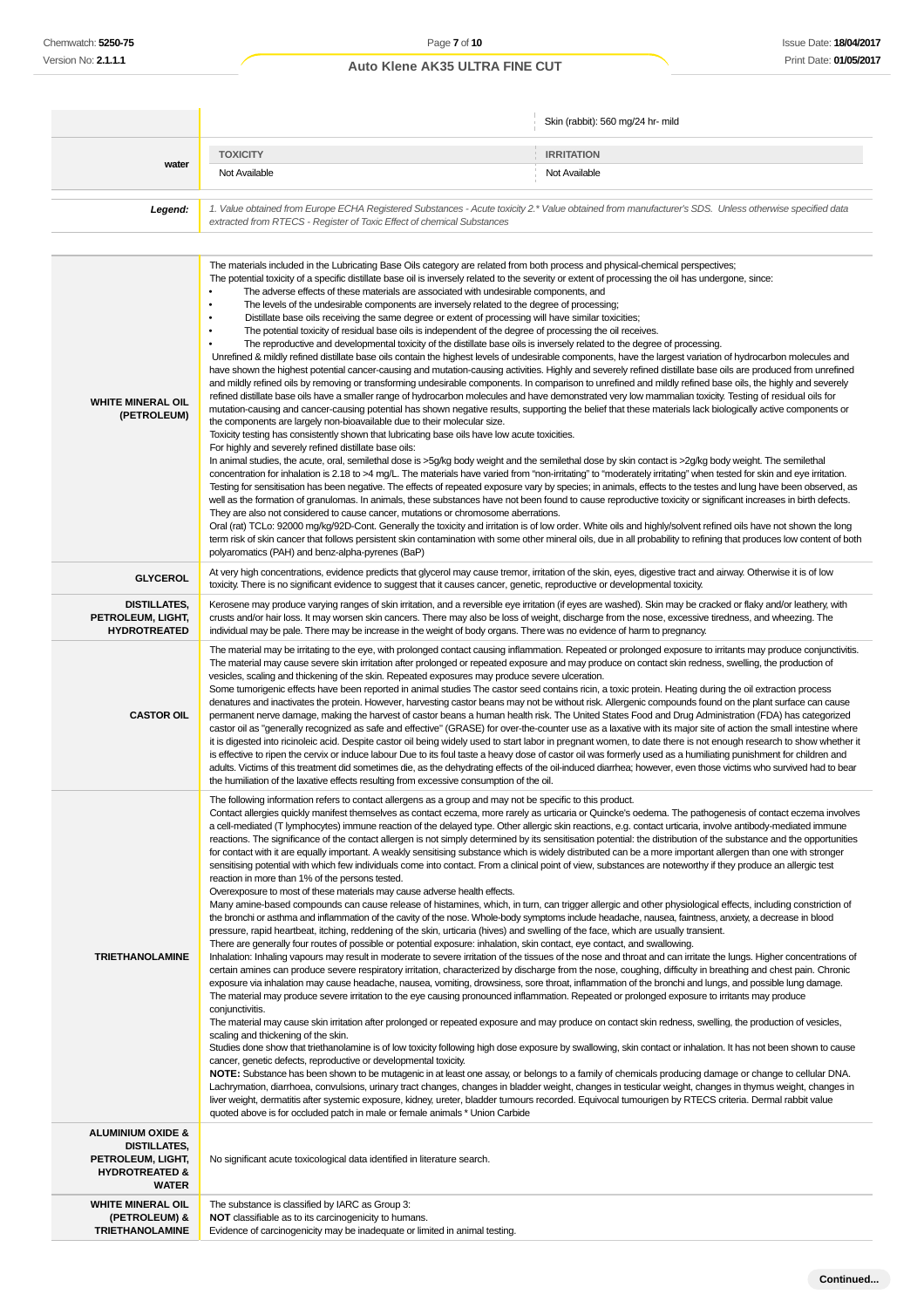|                                                                                                                |                                                                                                                                                                                                                                                                                                                                                                                                                                                                                                                                                                                                                                                                                                                                                                                                                                                                                                                                                                                                                                                                                                                                                                                                                                                                                                                                                                                                                                                                                                                                                                                                                                                                                                                                                                                                                                                                                                                                                                                                                                                                                                                                                                                                                                                                                                                                                                                                                                                                                                                                                                                                                                                                                                                                                                                                                                                                                                                                                                                                                                                                                                                                                                                                                                                                                                                                                                        | Skin (rabbit): 560 mg/24 hr- mild |  |
|----------------------------------------------------------------------------------------------------------------|------------------------------------------------------------------------------------------------------------------------------------------------------------------------------------------------------------------------------------------------------------------------------------------------------------------------------------------------------------------------------------------------------------------------------------------------------------------------------------------------------------------------------------------------------------------------------------------------------------------------------------------------------------------------------------------------------------------------------------------------------------------------------------------------------------------------------------------------------------------------------------------------------------------------------------------------------------------------------------------------------------------------------------------------------------------------------------------------------------------------------------------------------------------------------------------------------------------------------------------------------------------------------------------------------------------------------------------------------------------------------------------------------------------------------------------------------------------------------------------------------------------------------------------------------------------------------------------------------------------------------------------------------------------------------------------------------------------------------------------------------------------------------------------------------------------------------------------------------------------------------------------------------------------------------------------------------------------------------------------------------------------------------------------------------------------------------------------------------------------------------------------------------------------------------------------------------------------------------------------------------------------------------------------------------------------------------------------------------------------------------------------------------------------------------------------------------------------------------------------------------------------------------------------------------------------------------------------------------------------------------------------------------------------------------------------------------------------------------------------------------------------------------------------------------------------------------------------------------------------------------------------------------------------------------------------------------------------------------------------------------------------------------------------------------------------------------------------------------------------------------------------------------------------------------------------------------------------------------------------------------------------------------------------------------------------------------------------------------------------------|-----------------------------------|--|
|                                                                                                                | <b>TOXICITY</b>                                                                                                                                                                                                                                                                                                                                                                                                                                                                                                                                                                                                                                                                                                                                                                                                                                                                                                                                                                                                                                                                                                                                                                                                                                                                                                                                                                                                                                                                                                                                                                                                                                                                                                                                                                                                                                                                                                                                                                                                                                                                                                                                                                                                                                                                                                                                                                                                                                                                                                                                                                                                                                                                                                                                                                                                                                                                                                                                                                                                                                                                                                                                                                                                                                                                                                                                                        | <b>IRRITATION</b>                 |  |
| water                                                                                                          | Not Available                                                                                                                                                                                                                                                                                                                                                                                                                                                                                                                                                                                                                                                                                                                                                                                                                                                                                                                                                                                                                                                                                                                                                                                                                                                                                                                                                                                                                                                                                                                                                                                                                                                                                                                                                                                                                                                                                                                                                                                                                                                                                                                                                                                                                                                                                                                                                                                                                                                                                                                                                                                                                                                                                                                                                                                                                                                                                                                                                                                                                                                                                                                                                                                                                                                                                                                                                          | Not Available                     |  |
| Legend:                                                                                                        | 1. Value obtained from Europe ECHA Registered Substances - Acute toxicity 2.* Value obtained from manufacturer's SDS. Unless otherwise specified data<br>extracted from RTECS - Register of Toxic Effect of chemical Substances                                                                                                                                                                                                                                                                                                                                                                                                                                                                                                                                                                                                                                                                                                                                                                                                                                                                                                                                                                                                                                                                                                                                                                                                                                                                                                                                                                                                                                                                                                                                                                                                                                                                                                                                                                                                                                                                                                                                                                                                                                                                                                                                                                                                                                                                                                                                                                                                                                                                                                                                                                                                                                                                                                                                                                                                                                                                                                                                                                                                                                                                                                                                        |                                   |  |
| <b>WHITE MINERAL OIL</b><br>(PETROLEUM)                                                                        | The materials included in the Lubricating Base Oils category are related from both process and physical-chemical perspectives;<br>The potential toxicity of a specific distillate base oil is inversely related to the severity or extent of processing the oil has undergone, since:<br>The adverse effects of these materials are associated with undesirable components, and<br>The levels of the undesirable components are inversely related to the degree of processing;<br>٠<br>Distillate base oils receiving the same degree or extent of processing will have similar toxicities;<br>The potential toxicity of residual base oils is independent of the degree of processing the oil receives.<br>٠<br>The reproductive and developmental toxicity of the distillate base oils is inversely related to the degree of processing.<br>Unrefined & mildly refined distillate base oils contain the highest levels of undesirable components, have the largest variation of hydrocarbon molecules and<br>have shown the highest potential cancer-causing and mutation-causing activities. Highly and severely refined distillate base oils are produced from unrefined<br>and mildly refined oils by removing or transforming undesirable components. In comparison to unrefined and mildly refined base oils, the highly and severely<br>refined distillate base oils have a smaller range of hydrocarbon molecules and have demonstrated very low mammalian toxicity. Testing of residual oils for<br>mutation-causing and cancer-causing potential has shown negative results, supporting the belief that these materials lack biologically active components or<br>the components are largely non-bioavailable due to their molecular size.<br>Toxicity testing has consistently shown that lubricating base oils have low acute toxicities.<br>For highly and severely refined distillate base oils:<br>In animal studies, the acute, oral, semilethal dose is >5g/kg body weight and the semilethal dose by skin contact is >2g/kg body weight. The semilethal<br>concentration for inhalation is 2.18 to >4 mg/L. The materials have varied from "non-irritating" to "moderately irritating" when tested for skin and eye irritation.<br>Testing for sensitisation has been negative. The effects of repeated exposure vary by species; in animals, effects to the testes and lung have been observed, as<br>well as the formation of granulomas. In animals, these substances have not been found to cause reproductive toxicity or significant increases in birth defects.<br>They are also not considered to cause cancer, mutations or chromosome aberrations.<br>Oral (rat) TCLo: 92000 mg/kg/92D-Cont. Generally the toxicity and irritation is of low order. White oils and highly/solvent refined oils have not shown the long<br>term risk of skin cancer that follows persistent skin contamination with some other mineral oils, due in all probability to refining that produces low content of both<br>polyaromatics (PAH) and benz-alpha-pyrenes (BaP)                                                                                                                                                                                                                                                                                      |                                   |  |
| <b>GLYCEROL</b>                                                                                                | At very high concentrations, evidence predicts that glycerol may cause tremor, irritation of the skin, eyes, digestive tract and airway. Otherwise it is of low<br>toxicity. There is no significant evidence to suggest that it causes cancer, genetic, reproductive or developmental toxicity.                                                                                                                                                                                                                                                                                                                                                                                                                                                                                                                                                                                                                                                                                                                                                                                                                                                                                                                                                                                                                                                                                                                                                                                                                                                                                                                                                                                                                                                                                                                                                                                                                                                                                                                                                                                                                                                                                                                                                                                                                                                                                                                                                                                                                                                                                                                                                                                                                                                                                                                                                                                                                                                                                                                                                                                                                                                                                                                                                                                                                                                                       |                                   |  |
| <b>DISTILLATES,</b><br>PETROLEUM, LIGHT,<br><b>HYDROTREATED</b>                                                | Kerosene may produce varying ranges of skin irritation, and a reversible eye irritation (if eyes are washed). Skin may be cracked or flaky and/or leathery, with<br>crusts and/or hair loss. It may worsen skin cancers. There may also be loss of weight, discharge from the nose, excessive tiredness, and wheezing. The<br>individual may be pale. There may be increase in the weight of body organs. There was no evidence of harm to pregnancy.                                                                                                                                                                                                                                                                                                                                                                                                                                                                                                                                                                                                                                                                                                                                                                                                                                                                                                                                                                                                                                                                                                                                                                                                                                                                                                                                                                                                                                                                                                                                                                                                                                                                                                                                                                                                                                                                                                                                                                                                                                                                                                                                                                                                                                                                                                                                                                                                                                                                                                                                                                                                                                                                                                                                                                                                                                                                                                                  |                                   |  |
| <b>CASTOR OIL</b>                                                                                              | The material may be irritating to the eye, with prolonged contact causing inflammation. Repeated or prolonged exposure to irritants may produce conjunctivitis.<br>The material may cause severe skin irritation after prolonged or repeated exposure and may produce on contact skin redness, swelling, the production of<br>vesicles, scaling and thickening of the skin. Repeated exposures may produce severe ulceration.<br>Some tumorigenic effects have been reported in animal studies The castor seed contains ricin, a toxic protein. Heating during the oil extraction process<br>denatures and inactivates the protein. However, harvesting castor beans may not be without risk. Allergenic compounds found on the plant surface can cause<br>permanent nerve damage, making the harvest of castor beans a human health risk. The United States Food and Drug Administration (FDA) has categorized<br>castor oil as "generally recognized as safe and effective" (GRASE) for over-the-counter use as a laxative with its major site of action the small intestine where<br>it is digested into ricinoleic acid. Despite castor oil being widely used to start labor in pregnant women, to date there is not enough research to show whether it<br>is effective to ripen the cervix or induce labour Due to its foul taste a heavy dose of castor oil was formerly used as a humiliating punishment for children and<br>adults. Victims of this treatment did sometimes die, as the dehydrating effects of the oil-induced diarrhea; however, even those victims who survived had to bear<br>the humiliation of the laxative effects resulting from excessive consumption of the oil.                                                                                                                                                                                                                                                                                                                                                                                                                                                                                                                                                                                                                                                                                                                                                                                                                                                                                                                                                                                                                                                                                                                                                                                                                                                                                                                                                                                                                                                                                                                                                                                                                                                                      |                                   |  |
| <b>TRIETHANOLAMINE</b>                                                                                         | The following information refers to contact allergens as a group and may not be specific to this product.<br>Contact allergies quickly manifest themselves as contact eczema, more rarely as urticaria or Quincke's oedema. The pathogenesis of contact eczema involves<br>a cell-mediated (T lymphocytes) immune reaction of the delayed type. Other allergic skin reactions, e.g. contact urticaria, involve antibody-mediated immune<br>reactions. The significance of the contact allergen is not simply determined by its sensitisation potential: the distribution of the substance and the opportunities<br>for contact with it are equally important. A weakly sensitising substance which is widely distributed can be a more important allergen than one with stronger<br>sensitising potential with which few individuals come into contact. From a clinical point of view, substances are noteworthy if they produce an allergic test<br>reaction in more than 1% of the persons tested.<br>Overexposure to most of these materials may cause adverse health effects.<br>Many amine-based compounds can cause release of histamines, which, in turn, can trigger allergic and other physiological effects, including constriction of<br>the bronchi or asthma and inflammation of the cavity of the nose. Whole-body symptoms include headache, nausea, faintness, anxiety, a decrease in blood<br>pressure, rapid heartbeat, itching, reddening of the skin, urticaria (hives) and swelling of the face, which are usually transient.<br>There are generally four routes of possible or potential exposure: inhalation, skin contact, eye contact, and swallowing.<br>Inhalation: Inhaling vapours may result in moderate to severe irritation of the tissues of the nose and throat and can irritate the lungs. Higher concentrations of<br>certain amines can produce severe respiratory irritation, characterized by discharge from the nose, coughing, difficulty in breathing and chest pain. Chronic<br>exposure via inhalation may cause headache, nausea, vomiting, drowsiness, sore throat, inflammation of the bronchi and lungs, and possible lung damage.<br>The material may produce severe irritation to the eye causing pronounced inflammation. Repeated or prolonged exposure to irritants may produce<br>conjunctivitis.<br>The material may cause skin irritation after prolonged or repeated exposure and may produce on contact skin redness, swelling, the production of vesicles,<br>scaling and thickening of the skin.<br>Studies done show that triethanolamine is of low toxicity following high dose exposure by swallowing, skin contact or inhalation. It has not been shown to cause<br>cancer, genetic defects, reproductive or developmental toxicity.<br>NOTE: Substance has been shown to be mutagenic in at least one assay, or belongs to a family of chemicals producing damage or change to cellular DNA.<br>Lachrymation, diarrhoea, convulsions, urinary tract changes, changes in bladder weight, changes in testicular weight, changes in thymus weight, changes in<br>liver weight, dermatitis after systemic exposure, kidney, ureter, bladder tumours recorded. Equivocal tumourigen by RTECS criteria. Dermal rabbit value<br>quoted above is for occluded patch in male or female animals * Union Carbide |                                   |  |
| <b>ALUMINIUM OXIDE &amp;</b><br>DISTILLATES,<br>PETROLEUM, LIGHT,<br><b>HYDROTREATED &amp;</b><br><b>WATER</b> | No significant acute toxicological data identified in literature search.                                                                                                                                                                                                                                                                                                                                                                                                                                                                                                                                                                                                                                                                                                                                                                                                                                                                                                                                                                                                                                                                                                                                                                                                                                                                                                                                                                                                                                                                                                                                                                                                                                                                                                                                                                                                                                                                                                                                                                                                                                                                                                                                                                                                                                                                                                                                                                                                                                                                                                                                                                                                                                                                                                                                                                                                                                                                                                                                                                                                                                                                                                                                                                                                                                                                                               |                                   |  |
| <b>WHITE MINERAL OIL</b>                                                                                       | The substance is classified by IARC as Group 3:                                                                                                                                                                                                                                                                                                                                                                                                                                                                                                                                                                                                                                                                                                                                                                                                                                                                                                                                                                                                                                                                                                                                                                                                                                                                                                                                                                                                                                                                                                                                                                                                                                                                                                                                                                                                                                                                                                                                                                                                                                                                                                                                                                                                                                                                                                                                                                                                                                                                                                                                                                                                                                                                                                                                                                                                                                                                                                                                                                                                                                                                                                                                                                                                                                                                                                                        |                                   |  |
| (PETROLEUM) &<br><b>TRIETHANOLAMINE</b>                                                                        | <b>NOT</b> classifiable as to its carcinogenicity to humans.<br>Evidence of carcinogenicity may be inadequate or limited in animal testing.                                                                                                                                                                                                                                                                                                                                                                                                                                                                                                                                                                                                                                                                                                                                                                                                                                                                                                                                                                                                                                                                                                                                                                                                                                                                                                                                                                                                                                                                                                                                                                                                                                                                                                                                                                                                                                                                                                                                                                                                                                                                                                                                                                                                                                                                                                                                                                                                                                                                                                                                                                                                                                                                                                                                                                                                                                                                                                                                                                                                                                                                                                                                                                                                                            |                                   |  |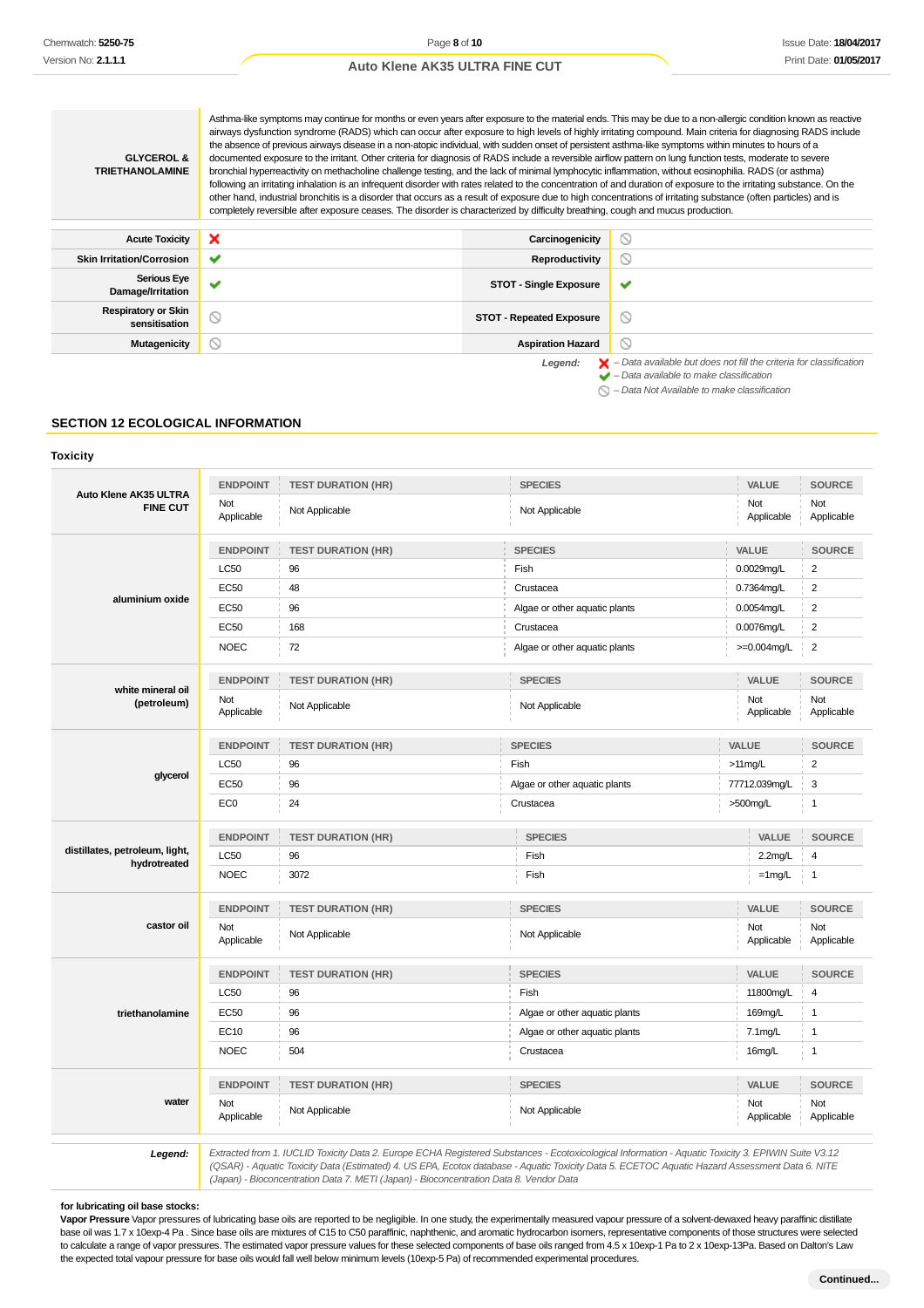Asthma-like symptoms may continue for months or even years after exposure to the material ends. This may be due to a non-allergic condition known as reactive airways dysfunction syndrome (RADS) which can occur after exposure to high levels of highly irritating compound. Main criteria for diagnosing RADS include the absence of previous airways disease in a non-atopic individual, with sudden onset of persistent asthma-like symptoms within minutes to hours of a **GLYCEROL &** documented exposure to the irritant. Other criteria for diagnosis of RADS include a reversible airflow pattern on lung function tests, moderate to severe **TRIETHANOLAMINE** bronchial hyperreactivity on methacholine challenge testing, and the lack of minimal lymphocytic inflammation, without eosinophilia. RADS (or asthma) following an irritating inhalation is an infrequent disorder with rates related to the concentration of and duration of exposure to the irritating substance. On the other hand, industrial bronchitis is a disorder that occurs as a result of exposure due to high concentrations of irritating substance (often particles) and is completely reversible after exposure ceases. The disorder is characterized by difficulty breathing, cough and mucus production. Acute Toxicity **X** Carcinogenicity  $\circ$ **Skin Irritation/Corrosion ● ◆ Productivity** Productivity Reproductivity  $\circ$ **Serious Eye Damage/Irritation STOT - Single Exposure**  $\overline{\mathbf{v}}$ **Respiratory or Skin ratory or Skin**<br>sensitisation **or STOT - Repeated Exposure**  $\circ$ **Mutagenicity Aspiration Hazard**  $\circ$ Legend:  $\mathbf{X}$  – Data available but does not fill the criteria for classification

– Data available to make classification

 $\bigcap$  – Data Not Available to make classification

#### **SECTION 12 ECOLOGICAL INFORMATION**

#### **Toxicity**

| Auto Klene AK35 ULTRA<br><b>FINE CUT</b>       | <b>ENDPOINT</b>   | <b>TEST DURATION (HR)</b> | <b>SPECIES</b>                | VALUE             | <b>SOURCE</b>     |
|------------------------------------------------|-------------------|---------------------------|-------------------------------|-------------------|-------------------|
|                                                | Not<br>Applicable | Not Applicable            | Not Applicable                | Not<br>Applicable | Not<br>Applicable |
|                                                | <b>ENDPOINT</b>   | <b>TEST DURATION (HR)</b> | <b>SPECIES</b>                | VALUE             | <b>SOURCE</b>     |
|                                                | LC50              | 96                        | Fish                          | 0.0029mg/L        | $\overline{2}$    |
| aluminium oxide                                | EC50              | 48                        | Crustacea                     | 0.7364mg/L        | $\boldsymbol{2}$  |
|                                                | <b>EC50</b>       | 96                        | Algae or other aquatic plants | 0.0054mg/L        | $\overline{2}$    |
|                                                | EC50              | 168                       | Crustacea                     | 0.0076mg/L        | $\overline{c}$    |
|                                                | <b>NOEC</b>       | 72                        | Algae or other aquatic plants | $>=0.004$ mg/L    | $\overline{c}$    |
| white mineral oil                              | <b>ENDPOINT</b>   | <b>TEST DURATION (HR)</b> | <b>SPECIES</b>                | VALUE             | <b>SOURCE</b>     |
| (petroleum)                                    | Not<br>Applicable | Not Applicable            | Not Applicable                | Not<br>Applicable | Not<br>Applicable |
|                                                | <b>ENDPOINT</b>   | <b>TEST DURATION (HR)</b> | <b>SPECIES</b>                | VALUE             | <b>SOURCE</b>     |
|                                                | <b>LC50</b>       | 96                        | Fish                          | $>11$ mg/L        | $\overline{2}$    |
| glycerol                                       | EC50              | 96                        | Algae or other aquatic plants | 77712.039mg/L     | 3                 |
|                                                | EC <sub>0</sub>   | 24                        | Crustacea                     | >500mg/L          | $\mathbf{1}$      |
|                                                | <b>ENDPOINT</b>   | <b>TEST DURATION (HR)</b> | <b>SPECIES</b>                | VALUE             | <b>SOURCE</b>     |
| distillates, petroleum, light,<br>hydrotreated | LC50              | 96                        | Fish                          | 2.2mg/L           | 4                 |
|                                                | <b>NOEC</b>       | 3072                      | Fish                          | $=1$ mg/L         | $\mathbf{1}$      |
|                                                | <b>ENDPOINT</b>   | <b>TEST DURATION (HR)</b> | <b>SPECIES</b>                | VALUE             | <b>SOURCE</b>     |
| castor oil                                     | Not<br>Applicable | Not Applicable            | Not Applicable                | Not<br>Applicable | Not<br>Applicable |
|                                                | <b>ENDPOINT</b>   | <b>TEST DURATION (HR)</b> | <b>SPECIES</b>                | VALUE             | <b>SOURCE</b>     |
|                                                | <b>LC50</b>       | 96                        | Fish                          | 11800mg/L         |                   |
| triethanolamine                                | <b>EC50</b>       | 96                        | Algae or other aquatic plants | 169mg/L           |                   |
|                                                | EC10              | 96                        | Algae or other aquatic plants | $7.1 \text{mg/L}$ | $\mathbf{1}$      |
|                                                | <b>NOEC</b>       | 504                       | Crustacea                     | 16mg/L            | $\mathbf{1}$      |
|                                                | <b>ENDPOINT</b>   | <b>TEST DURATION (HR)</b> | <b>SPECIES</b>                | VALUE             | <b>SOURCE</b>     |
| water                                          | Not<br>Applicable | Not Applicable            | Not Applicable                | Not<br>Applicable | Not<br>Applicable |

**Legend:** Extracted from 1. IUCLID Toxicity Data 2. Europe ECHA Registered Substances - Ecotoxicological Information - Aquatic Toxicity 3. EPIWIN Suite V3.12 (QSAR) - Aquatic Toxicity Data (Estimated) 4. US EPA, Ecotox database - Aquatic Toxicity Data 5. ECETOC Aquatic Hazard Assessment Data 6. NITE (Japan) - Bioconcentration Data 7. METI (Japan) - Bioconcentration Data 8. Vendor Data

#### **for lubricating oil base stocks:**

**Vapor Pressure** Vapor pressures of lubricating base oils are reported to be negligible. In one study, the experimentally measured vapour pressure of a solvent-dewaxed heavy paraffinic distillate base oil was 1.7 x 10exp-4 Pa . Since base oils are mixtures of C15 to C50 paraffinic, naphthenic, and aromatic hydrocarbon isomers, representative components of those structures were selected to calculate a range of vapor pressures. The estimated vapor pressure values for these selected components of base oils ranged from 4.5 x 10exp-1 Pa to 2 x 10exp-13Pa. Based on Dalton's Law the expected total vapour pressure for base oils would fall well below minimum levels (10exp-5 Pa) of recommended experimental procedures.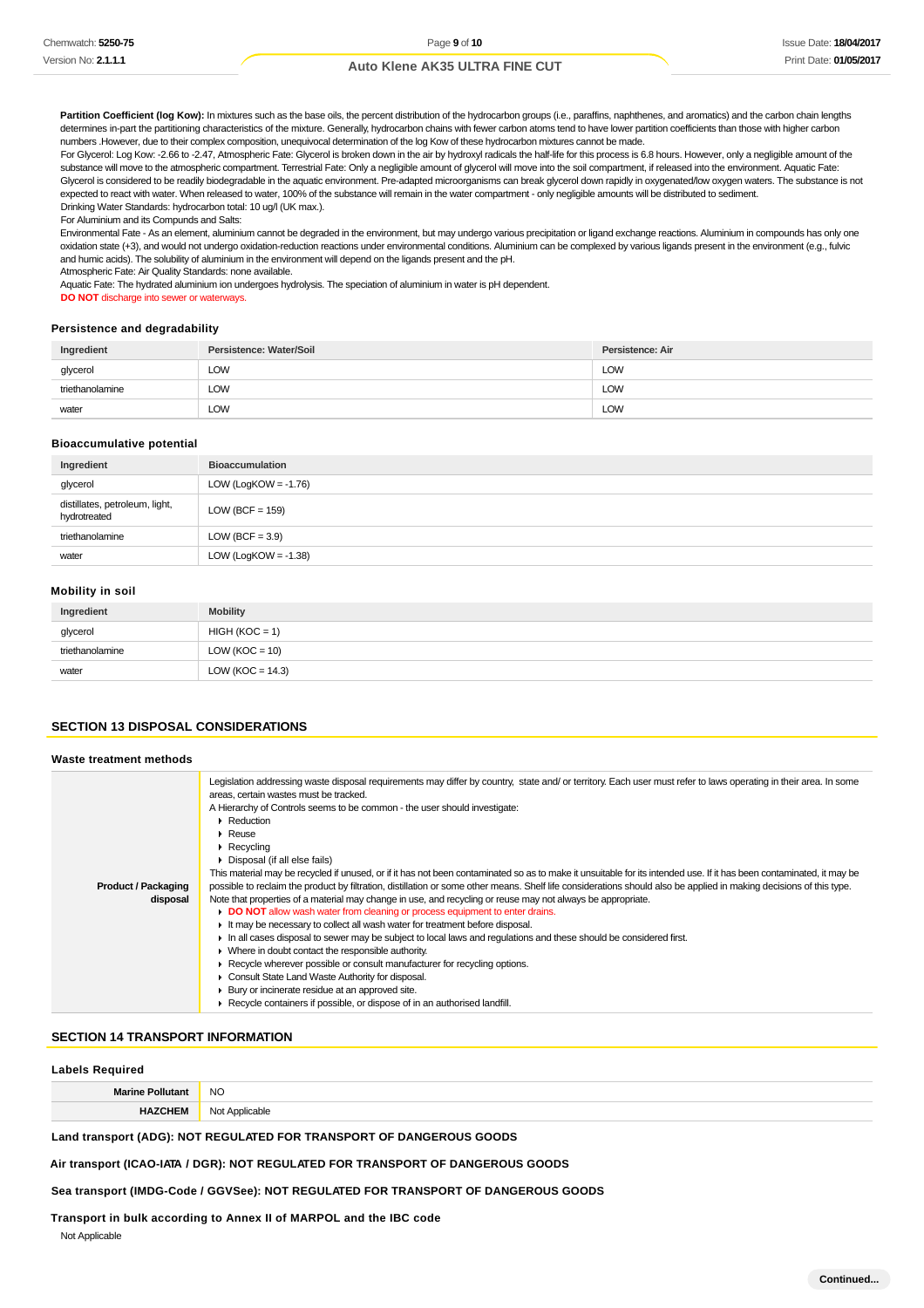Partition Coefficient (log Kow): In mixtures such as the base oils, the percent distribution of the hydrocarbon groups (i.e., paraffins, naphthenes, and aromatics) and the carbon chain lengths determines in-part the partitioning characteristics of the mixture. Generally, hydrocarbon chains with fewer carbon atoms tend to have lower partition coefficients than those with higher carbon numbers .However, due to their complex composition, unequivocal determination of the log Kow of these hydrocarbon mixtures cannot be made.

For Glycerol: Log Kow: -2.66 to -2.47, Atmospheric Fate: Glycerol is broken down in the air by hydroxyl radicals the half-life for this process is 6.8 hours. However, only a negligible amount of the substance will move to the atmospheric compartment. Terrestrial Fate: Only a negligible amount of glycerol will move into the soil compartment, if released into the environment. Aquatic Fate: Glycerol is considered to be readily biodegradable in the aquatic environment. Pre-adapted microorganisms can break glycerol down rapidly in oxygenated/low oxygen waters. The substance is not expected to react with water. When released to water, 100% of the substance will remain in the water compartment - only negligible amounts will be distributed to sediment. Drinking Water Standards: hydrocarbon total: 10 ug/l (UK max.).

For Aluminium and its Compunds and Salts:

Environmental Fate - As an element, aluminium cannot be degraded in the environment, but may undergo various precipitation or ligand exchange reactions. Aluminium in compounds has only one oxidation state (+3), and would not undergo oxidation-reduction reactions under environmental conditions. Aluminium can be complexed by various ligands present in the environment (e.g., fulvic and humic acids). The solubility of aluminium in the environment will depend on the ligands present and the pH.

Atmospheric Fate: Air Quality Standards: none available.

Aquatic Fate: The hydrated aluminium ion undergoes hydrolysis. The speciation of aluminium in water is pH dependent.

**DO NOT** discharge into sewer or waterways.

### **Persistence and degradability**

| Ingredient      | Persistence: Water/Soil | Persistence: Air |
|-----------------|-------------------------|------------------|
| glycerol        | LOW                     | LOW              |
| triethanolamine | <b>LOW</b>              | LOW              |
| water           | LOW                     | LOW              |

#### **Bioaccumulative potential**

| Ingredient                                     | <b>Bioaccumulation</b>  |
|------------------------------------------------|-------------------------|
| glycerol                                       | LOW (LogKOW = $-1.76$ ) |
| distillates, petroleum, light,<br>hydrotreated | $LOW (BCF = 159)$       |
| triethanolamine                                | LOW (BCF = $3.9$ )      |
| water                                          | LOW (LogKOW = $-1.38$ ) |

#### **Mobility in soil**

| Ingredient      | <b>Mobility</b>      |
|-----------------|----------------------|
| glycerol        | $HIGH (KOC = 1)$     |
| triethanolamine | $LOW (KOC = 10)$     |
| water           | LOW ( $KOC = 14.3$ ) |

# **SECTION 13 DISPOSAL CONSIDERATIONS**

| Waste treatment methods                |                                                                                                                                                                                                                                                                                                                                                                                                                                                                                                                                                                                                                                                                                                                                                                                                                                                                                                                                                                                                                                                                                                                                                                                                                                                                                                                                                                                                                                                                                    |
|----------------------------------------|------------------------------------------------------------------------------------------------------------------------------------------------------------------------------------------------------------------------------------------------------------------------------------------------------------------------------------------------------------------------------------------------------------------------------------------------------------------------------------------------------------------------------------------------------------------------------------------------------------------------------------------------------------------------------------------------------------------------------------------------------------------------------------------------------------------------------------------------------------------------------------------------------------------------------------------------------------------------------------------------------------------------------------------------------------------------------------------------------------------------------------------------------------------------------------------------------------------------------------------------------------------------------------------------------------------------------------------------------------------------------------------------------------------------------------------------------------------------------------|
| <b>Product / Packaging</b><br>disposal | Legislation addressing waste disposal requirements may differ by country, state and/or territory. Each user must refer to laws operating in their area. In some<br>areas, certain wastes must be tracked.<br>A Hierarchy of Controls seems to be common - the user should investigate:<br>Reduction<br>$\blacktriangleright$ Reuse<br>$\triangleright$ Recycling<br>• Disposal (if all else fails)<br>This material may be recycled if unused, or if it has not been contaminated so as to make it unsuitable for its intended use. If it has been contaminated, it may be<br>possible to reclaim the product by filtration, distillation or some other means. Shelf life considerations should also be applied in making decisions of this type.<br>Note that properties of a material may change in use, and recycling or reuse may not always be appropriate.<br>• DO NOT allow wash water from cleaning or process equipment to enter drains.<br>It may be necessary to collect all wash water for treatment before disposal.<br>In all cases disposal to sewer may be subject to local laws and regulations and these should be considered first.<br>• Where in doubt contact the responsible authority.<br>► Recycle wherever possible or consult manufacturer for recycling options.<br>Consult State Land Waste Authority for disposal.<br>• Bury or incinerate residue at an approved site.<br>▶ Recycle containers if possible, or dispose of in an authorised landfill. |

#### **SECTION 14 TRANSPORT INFORMATION**

#### **Labels Required**

| M <sub>0</sub> | <b>NO</b>                      |
|----------------|--------------------------------|
| --             | Applicable<br>Nr<br>udult<br>w |

**Land transport (ADG): NOT REGULATED FOR TRANSPORT OF DANGEROUS GOODS**

### **Air transport (ICAO-IATA / DGR): NOT REGULATED FOR TRANSPORT OF DANGEROUS GOODS**

#### **Sea transport (IMDG-Code / GGVSee): NOT REGULATED FOR TRANSPORT OF DANGEROUS GOODS**

#### **Transport in bulk according to Annex II of MARPOL and the IBC code**

Not Applicable